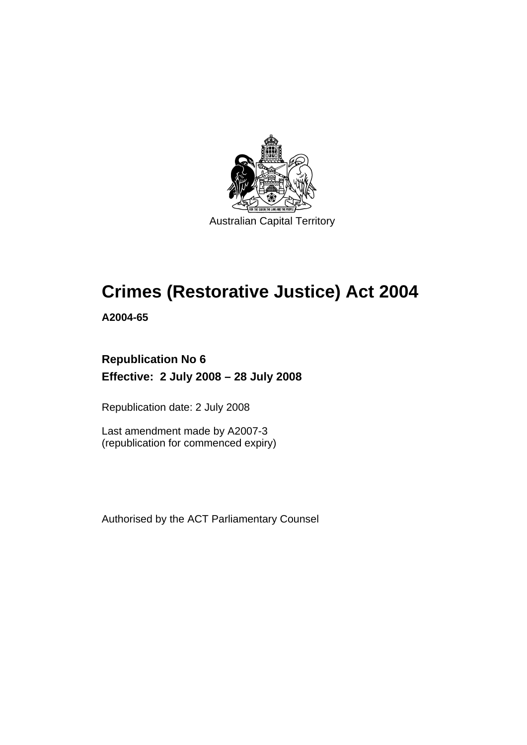

Australian Capital Territory

# **[Crimes \(Restorative Justice\) Act 2004](#page-8-0)**

**A2004-65** 

# **Republication No 6 Effective: 2 July 2008 – 28 July 2008**

Republication date: 2 July 2008

Last amendment made by A2007-3 (republication for commenced expiry)

Authorised by the ACT Parliamentary Counsel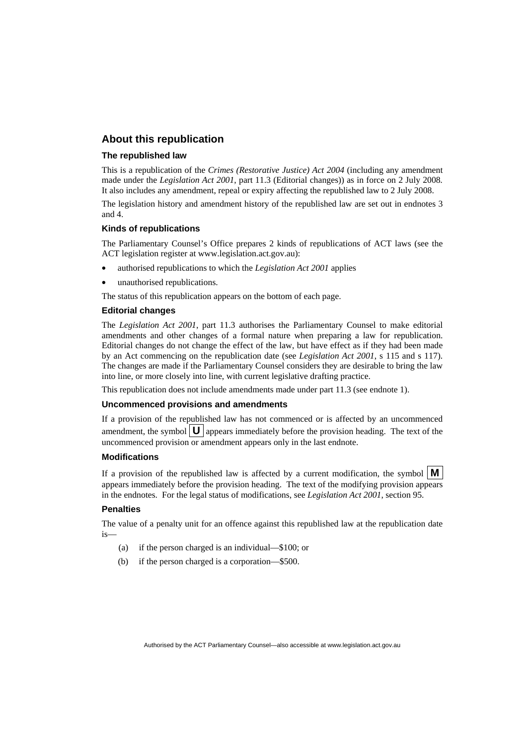### **About this republication**

#### **The republished law**

This is a republication of the *Crimes (Restorative Justice) Act 2004* (including any amendment made under the *Legislation Act 2001*, part 11.3 (Editorial changes)) as in force on 2 July 2008*.*  It also includes any amendment, repeal or expiry affecting the republished law to 2 July 2008.

The legislation history and amendment history of the republished law are set out in endnotes 3 and 4.

#### **Kinds of republications**

The Parliamentary Counsel's Office prepares 2 kinds of republications of ACT laws (see the ACT legislation register at www.legislation.act.gov.au):

- authorised republications to which the *Legislation Act 2001* applies
- unauthorised republications.

The status of this republication appears on the bottom of each page.

#### **Editorial changes**

The *Legislation Act 2001*, part 11.3 authorises the Parliamentary Counsel to make editorial amendments and other changes of a formal nature when preparing a law for republication. Editorial changes do not change the effect of the law, but have effect as if they had been made by an Act commencing on the republication date (see *Legislation Act 2001*, s 115 and s 117). The changes are made if the Parliamentary Counsel considers they are desirable to bring the law into line, or more closely into line, with current legislative drafting practice.

This republication does not include amendments made under part 11.3 (see endnote 1).

#### **Uncommenced provisions and amendments**

If a provision of the republished law has not commenced or is affected by an uncommenced amendment, the symbol  $\mathbf{U}$  appears immediately before the provision heading. The text of the uncommenced provision or amendment appears only in the last endnote.

#### **Modifications**

If a provision of the republished law is affected by a current modification, the symbol  $\mathbf{M}$ appears immediately before the provision heading. The text of the modifying provision appears in the endnotes. For the legal status of modifications, see *Legislation Act 2001*, section 95.

#### **Penalties**

The value of a penalty unit for an offence against this republished law at the republication date is—

- (a) if the person charged is an individual—\$100; or
- (b) if the person charged is a corporation—\$500.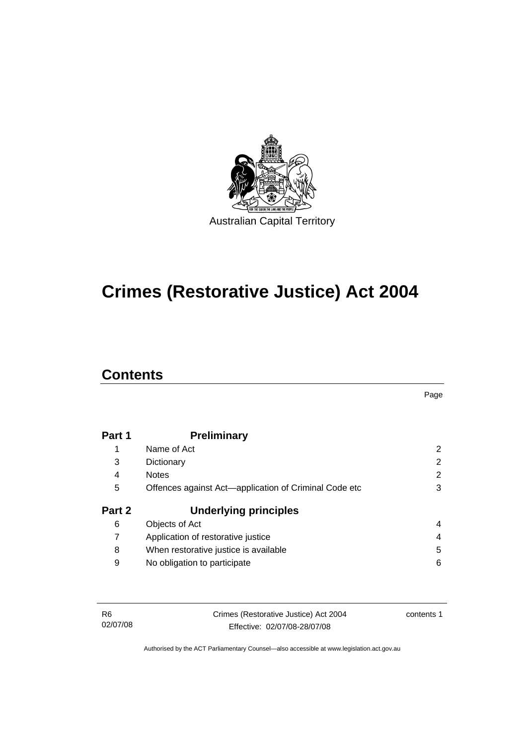

# **[Crimes \(Restorative Justice\) Act 2004](#page-8-0)**

# **Contents**

Page

| Part 1 | <b>Preliminary</b>                                    |   |
|--------|-------------------------------------------------------|---|
| 1      | Name of Act                                           | 2 |
| 3      | Dictionary                                            | 2 |
| 4      | <b>Notes</b>                                          | 2 |
| 5      | Offences against Act-application of Criminal Code etc | 3 |
|        |                                                       |   |
| Part 2 | <b>Underlying principles</b>                          |   |
| 6      | Objects of Act                                        | 4 |
| 7      | Application of restorative justice                    | 4 |
| 8      | When restorative justice is available                 | 5 |

| -R6      | Crimes (Restorative Justice) Act 2004 |  |
|----------|---------------------------------------|--|
| 02/07/08 | Effective: 02/07/08-28/07/08          |  |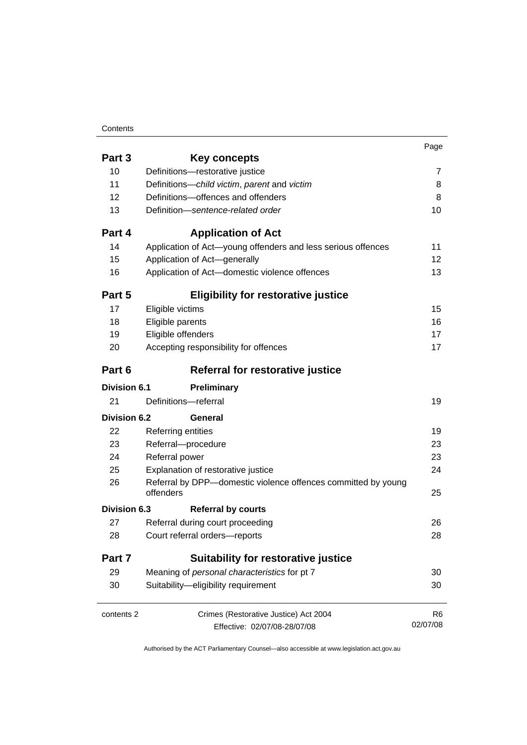### **Contents**

|                     |                                                                            | Page           |
|---------------------|----------------------------------------------------------------------------|----------------|
| Part 3              | <b>Key concepts</b>                                                        |                |
| 10                  | Definitions-restorative justice                                            | 7              |
| 11                  | Definitions-child victim, parent and victim                                | 8              |
| 12                  | Definitions-offences and offenders                                         | 8              |
| 13                  | Definition-sentence-related order                                          | 10             |
| Part 4              | <b>Application of Act</b>                                                  |                |
| 14                  | Application of Act-young offenders and less serious offences               | 11             |
| 15                  | Application of Act-generally                                               | 12             |
| 16                  | Application of Act-domestic violence offences                              | 13             |
| Part 5              | <b>Eligibility for restorative justice</b>                                 |                |
| 17                  | Eligible victims                                                           | 15             |
| 18                  | Eligible parents                                                           | 16             |
| 19                  | Eligible offenders                                                         | 17             |
| 20                  | Accepting responsibility for offences                                      | 17             |
| Part 6              | Referral for restorative justice                                           |                |
| <b>Division 6.1</b> | Preliminary                                                                |                |
| 21                  | Definitions-referral                                                       | 19             |
| Division 6.2        | General                                                                    |                |
| 22                  | Referring entities                                                         | 19             |
| 23                  | Referral-procedure                                                         | 23             |
| 24                  | Referral power                                                             | 23             |
| 25                  | Explanation of restorative justice                                         | 24             |
| 26                  | Referral by DPP-domestic violence offences committed by young<br>offenders | 25             |
| <b>Division 6.3</b> | <b>Referral by courts</b>                                                  |                |
| 27                  | Referral during court proceeding                                           | 26             |
| 28                  | Court referral orders-reports                                              | 28             |
| Part 7              | <b>Suitability for restorative justice</b>                                 |                |
| 29                  | Meaning of personal characteristics for pt 7                               | 30             |
| 30                  | Suitability-eligibility requirement                                        | 30             |
| contents 2          | Crimes (Restorative Justice) Act 2004                                      | R <sub>6</sub> |
|                     | Effective: 02/07/08-28/07/08                                               | 02/07/08       |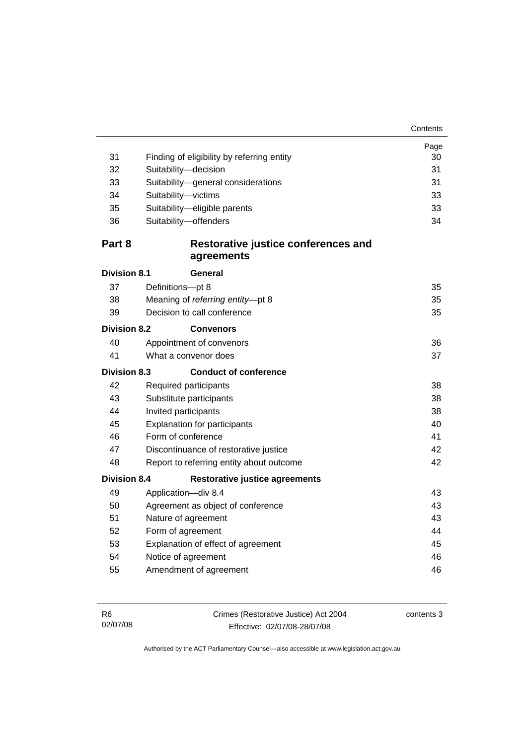| 31                  |                                                            | Page     |
|---------------------|------------------------------------------------------------|----------|
| 32                  | Finding of eligibility by referring entity                 | 30<br>31 |
| 33                  | Suitability-decision<br>Suitability-general considerations | 31       |
| 34                  | Suitability-victims                                        | 33       |
| 35                  | Suitability-eligible parents                               | 33       |
| 36                  | Suitability-offenders                                      | 34       |
|                     |                                                            |          |
| Part 8              | Restorative justice conferences and                        |          |
|                     | agreements                                                 |          |
| <b>Division 8.1</b> | General                                                    |          |
| 37                  | Definitions-pt 8                                           | 35       |
| 38                  | Meaning of referring entity-pt 8                           | 35       |
| 39                  | Decision to call conference                                | 35       |
| Division 8.2        | <b>Convenors</b>                                           |          |
| 40                  | Appointment of convenors                                   | 36       |
| 41                  | What a convenor does                                       | 37       |
| <b>Division 8.3</b> | <b>Conduct of conference</b>                               |          |
| 42                  | Required participants                                      | 38       |
| 43                  | Substitute participants<br>38                              |          |
| 44                  | Invited participants<br>38                                 |          |
| 45                  | <b>Explanation for participants</b>                        | 40       |
| 46                  | Form of conference                                         | 41       |
| 47                  | Discontinuance of restorative justice                      | 42       |
| 48                  | Report to referring entity about outcome                   | 42       |
| <b>Division 8.4</b> | <b>Restorative justice agreements</b>                      |          |
| 49                  | Application-div 8.4                                        | 43       |
| 50                  | Agreement as object of conference                          | 43       |
| 51                  | Nature of agreement                                        | 43       |
| 52                  | Form of agreement                                          | 44       |
| 53                  | Explanation of effect of agreement                         | 45       |
| 54                  | Notice of agreement                                        | 46       |
| 55                  | Amendment of agreement                                     | 46       |
|                     |                                                            |          |

| - R6     | Crimes (Restorative Justice) Act 2004 | contents 3 |
|----------|---------------------------------------|------------|
| 02/07/08 | Effective: 02/07/08-28/07/08          |            |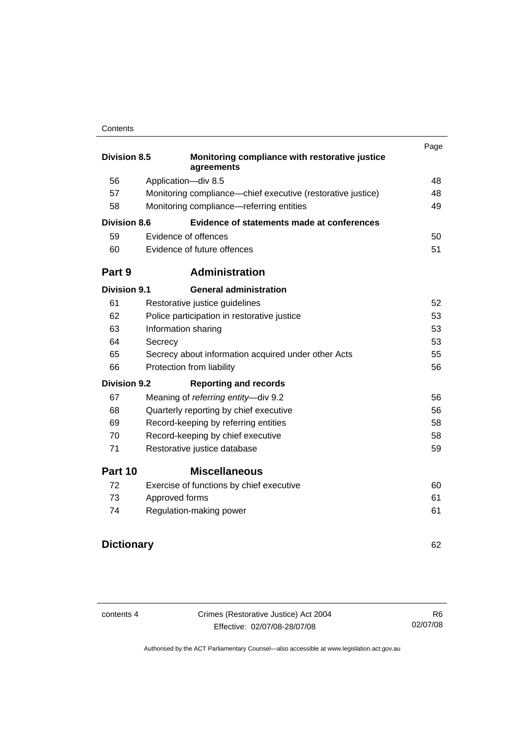#### **Contents**

|                     |                                                              | Page |
|---------------------|--------------------------------------------------------------|------|
| <b>Division 8.5</b> | Monitoring compliance with restorative justice<br>agreements |      |
| 56                  | Application-div 8.5                                          | 48   |
| 57                  | Monitoring compliance—chief executive (restorative justice)  | 48   |
| 58                  | Monitoring compliance-referring entities                     | 49   |
| <b>Division 8.6</b> | Evidence of statements made at conferences                   |      |
| 59                  | Evidence of offences                                         | 50   |
| 60                  | Evidence of future offences                                  | 51   |
| Part 9              | <b>Administration</b>                                        |      |
| <b>Division 9.1</b> | <b>General administration</b>                                |      |
| 61                  | Restorative justice guidelines                               | 52   |
| 62                  | Police participation in restorative justice                  | 53   |
| 63                  | Information sharing                                          | 53   |
| 64                  | Secrecy                                                      | 53   |
| 65                  | Secrecy about information acquired under other Acts          | 55   |
| 66                  | Protection from liability                                    | 56   |
| Division 9.2        | <b>Reporting and records</b>                                 |      |
| 67                  | Meaning of referring entity-div 9.2                          | 56   |
| 68                  | Quarterly reporting by chief executive                       | 56   |
| 69                  | Record-keeping by referring entities                         | 58   |
| 70                  | Record-keeping by chief executive                            | 58   |
| 71                  | Restorative justice database                                 | 59   |
| Part 10             | <b>Miscellaneous</b>                                         |      |
| 72                  | Exercise of functions by chief executive                     | 60   |
| 73                  | Approved forms                                               | 61   |
| 74                  | Regulation-making power                                      | 61   |
|                     |                                                              |      |

# **Dictionary** [62](#page-69-0)

contents 4 Crimes (Restorative Justice) Act 2004 Effective: 02/07/08-28/07/08

R6 02/07/08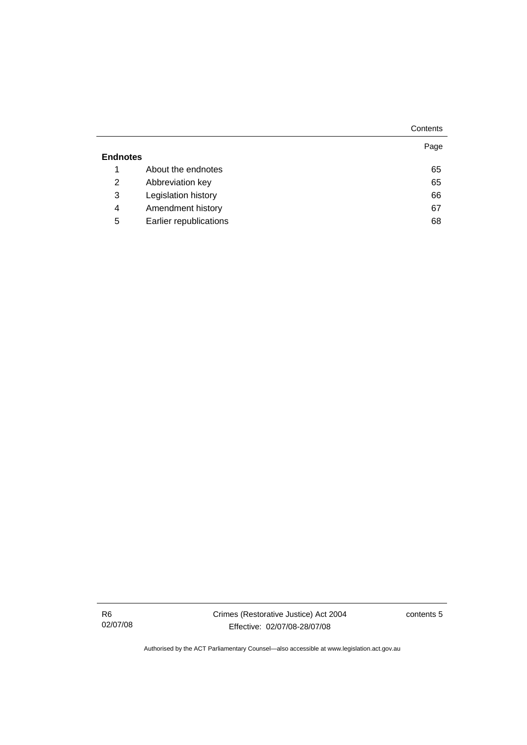|                 |                        | Contents |
|-----------------|------------------------|----------|
| <b>Endnotes</b> |                        | Page     |
| 1               | About the endnotes     | 65       |
| 2               | Abbreviation key       | 65       |
| 3               | Legislation history    | 66       |
| 4               | Amendment history      | 67       |
| 5               | Earlier republications | 68       |

R6 02/07/08 Crimes (Restorative Justice) Act 2004 Effective: 02/07/08-28/07/08

contents 5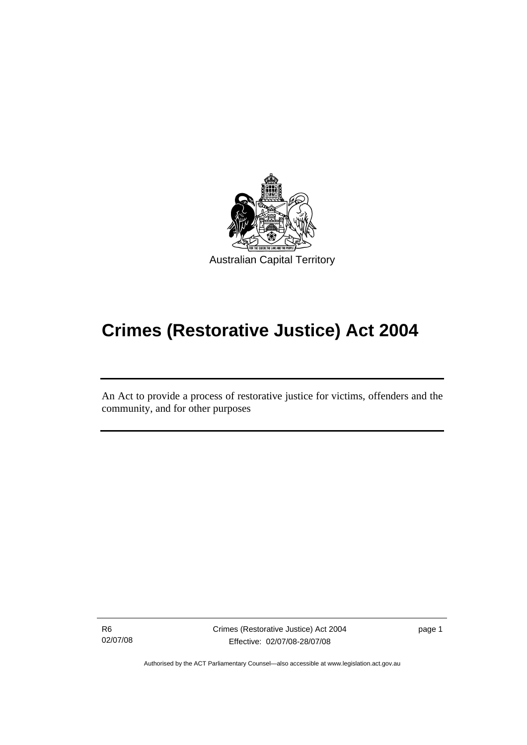<span id="page-8-0"></span>

# **Crimes (Restorative Justice) Act 2004**

An Act to provide a process of restorative justice for victims, offenders and the community, and for other purposes

R6 02/07/08

l

Crimes (Restorative Justice) Act 2004 Effective: 02/07/08-28/07/08

page 1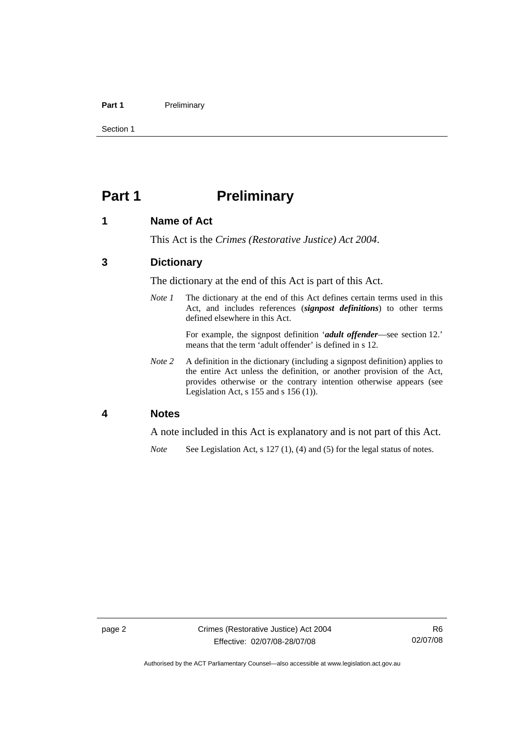#### <span id="page-9-0"></span>Part 1 **Preliminary**

Section 1

# **Part 1** Preliminary

### **1 Name of Act**

This Act is the *Crimes (Restorative Justice) Act 2004*.

# **3 Dictionary**

The dictionary at the end of this Act is part of this Act.

*Note 1* The dictionary at the end of this Act defines certain terms used in this Act, and includes references (*signpost definitions*) to other terms defined elsewhere in this Act.

> For example, the signpost definition '*adult offender*—see section 12.' means that the term 'adult offender' is defined in s 12.

*Note 2* A definition in the dictionary (including a signpost definition) applies to the entire Act unless the definition, or another provision of the Act, provides otherwise or the contrary intention otherwise appears (see Legislation Act, s 155 and s 156 (1)).

#### **4 Notes**

A note included in this Act is explanatory and is not part of this Act.

*Note* See Legislation Act, s 127 (1), (4) and (5) for the legal status of notes.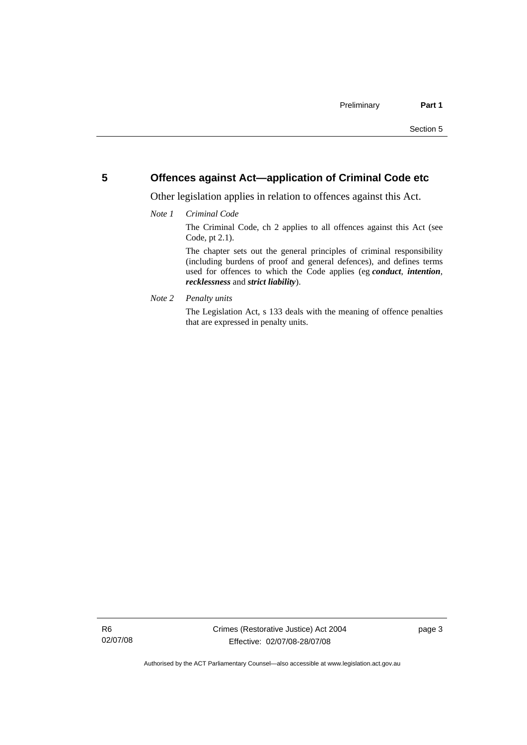### <span id="page-10-0"></span>**5 Offences against Act—application of Criminal Code etc**

Other legislation applies in relation to offences against this Act.

#### *Note 1 Criminal Code*

The Criminal Code, ch 2 applies to all offences against this Act (see Code, pt 2.1).

The chapter sets out the general principles of criminal responsibility (including burdens of proof and general defences), and defines terms used for offences to which the Code applies (eg *conduct*, *intention*, *recklessness* and *strict liability*).

*Note 2 Penalty units* 

The Legislation Act, s 133 deals with the meaning of offence penalties that are expressed in penalty units.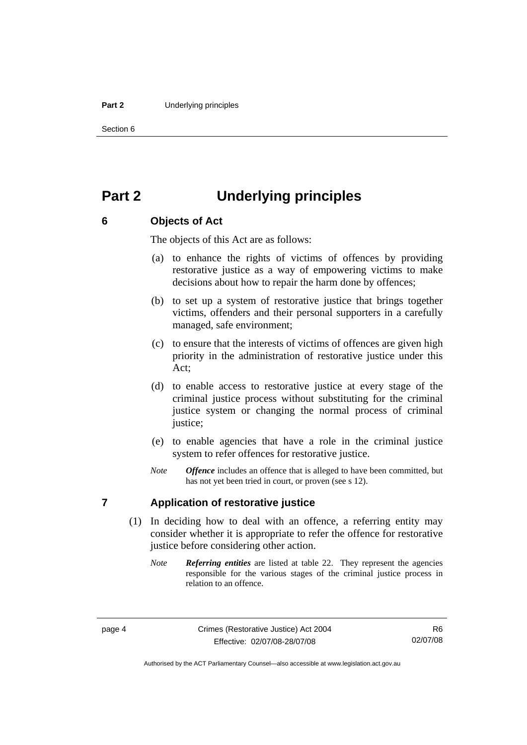#### <span id="page-11-0"></span>**Part 2** Underlying principles

Section 6

# **Part 2 Underlying principles**

# **6 Objects of Act**

The objects of this Act are as follows:

- (a) to enhance the rights of victims of offences by providing restorative justice as a way of empowering victims to make decisions about how to repair the harm done by offences;
- (b) to set up a system of restorative justice that brings together victims, offenders and their personal supporters in a carefully managed, safe environment;
- (c) to ensure that the interests of victims of offences are given high priority in the administration of restorative justice under this Act;
- (d) to enable access to restorative justice at every stage of the criminal justice process without substituting for the criminal justice system or changing the normal process of criminal justice;
- (e) to enable agencies that have a role in the criminal justice system to refer offences for restorative justice.
- *Note Offence* includes an offence that is alleged to have been committed, but has not yet been tried in court, or proven (see s 12).

### **7 Application of restorative justice**

- (1) In deciding how to deal with an offence, a referring entity may consider whether it is appropriate to refer the offence for restorative justice before considering other action.
	- *Note Referring entities* are listed at table 22. They represent the agencies responsible for the various stages of the criminal justice process in relation to an offence.

Authorised by the ACT Parliamentary Counsel—also accessible at www.legislation.act.gov.au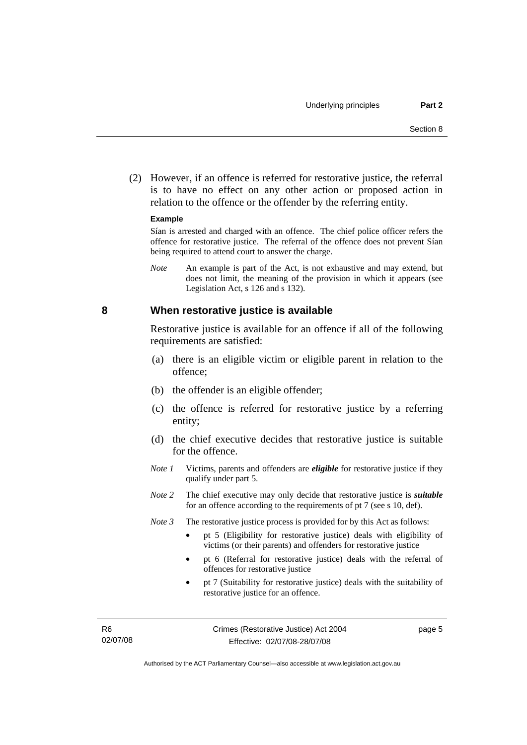<span id="page-12-0"></span> (2) However, if an offence is referred for restorative justice, the referral is to have no effect on any other action or proposed action in relation to the offence or the offender by the referring entity.

#### **Example**

Sían is arrested and charged with an offence. The chief police officer refers the offence for restorative justice. The referral of the offence does not prevent Sían being required to attend court to answer the charge.

*Note* An example is part of the Act, is not exhaustive and may extend, but does not limit, the meaning of the provision in which it appears (see Legislation Act, s 126 and s 132).

#### **8 When restorative justice is available**

Restorative justice is available for an offence if all of the following requirements are satisfied:

- (a) there is an eligible victim or eligible parent in relation to the offence;
- (b) the offender is an eligible offender;
- (c) the offence is referred for restorative justice by a referring entity;
- (d) the chief executive decides that restorative justice is suitable for the offence.
- *Note 1* Victims, parents and offenders are *eligible* for restorative justice if they qualify under part 5.
- *Note 2* The chief executive may only decide that restorative justice is *suitable*  for an offence according to the requirements of pt 7 (see s 10, def).
- *Note 3* The restorative justice process is provided for by this Act as follows:
	- pt 5 (Eligibility for restorative justice) deals with eligibility of victims (or their parents) and offenders for restorative justice
	- pt 6 (Referral for restorative justice) deals with the referral of offences for restorative justice
	- pt 7 (Suitability for restorative justice) deals with the suitability of restorative justice for an offence.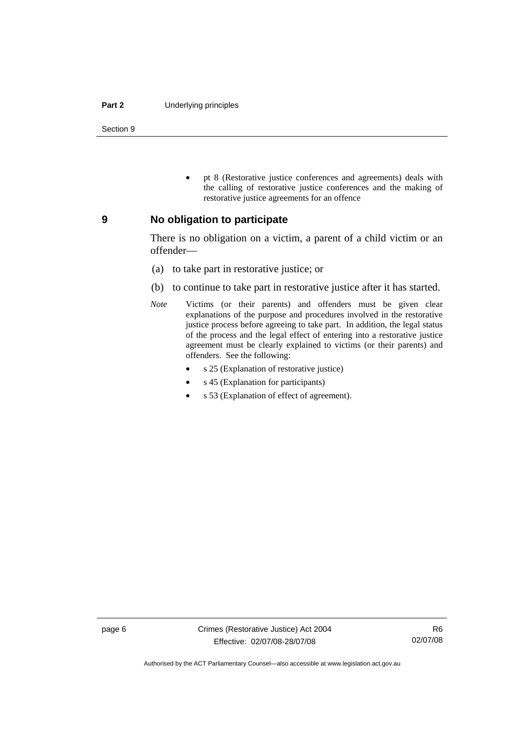#### <span id="page-13-0"></span>**Part 2** Underlying principles

Section 9

• pt 8 (Restorative justice conferences and agreements) deals with the calling of restorative justice conferences and the making of restorative justice agreements for an offence

#### **9 No obligation to participate**

There is no obligation on a victim, a parent of a child victim or an offender—

- (a) to take part in restorative justice; or
- (b) to continue to take part in restorative justice after it has started.
- *Note* Victims (or their parents) and offenders must be given clear explanations of the purpose and procedures involved in the restorative justice process before agreeing to take part. In addition, the legal status of the process and the legal effect of entering into a restorative justice agreement must be clearly explained to victims (or their parents) and offenders. See the following:
	- s 25 (Explanation of restorative justice)
	- s 45 (Explanation for participants)
	- s 53 (Explanation of effect of agreement).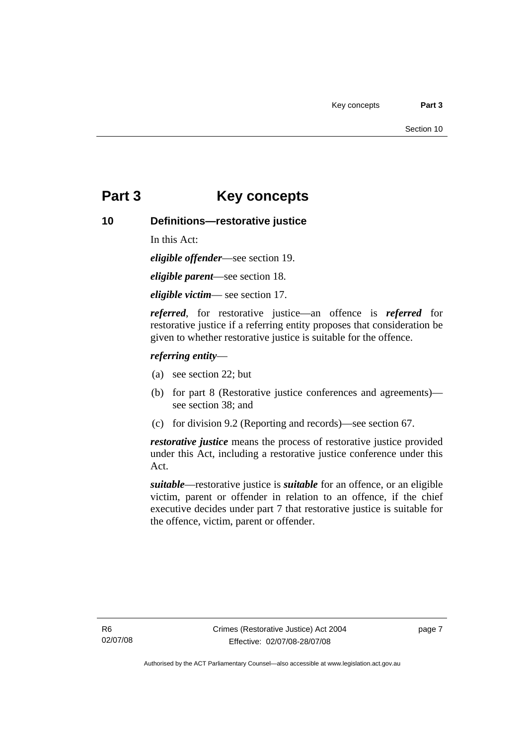# <span id="page-14-0"></span>**Part 3 Key concepts**

# **10 Definitions—restorative justice**

In this Act:

*eligible offender*—see section 19.

*eligible parent*—see section 18.

*eligible victim*— see section 17.

*referred*, for restorative justice—an offence is *referred* for restorative justice if a referring entity proposes that consideration be given to whether restorative justice is suitable for the offence.

### *referring entity*—

- (a) see section 22; but
- (b) for part 8 (Restorative justice conferences and agreements) see section 38; and
- (c) for division 9.2 (Reporting and records)—see section 67.

*restorative justice* means the process of restorative justice provided under this Act, including a restorative justice conference under this Act.

*suitable*—restorative justice is *suitable* for an offence, or an eligible victim, parent or offender in relation to an offence, if the chief executive decides under part 7 that restorative justice is suitable for the offence, victim, parent or offender.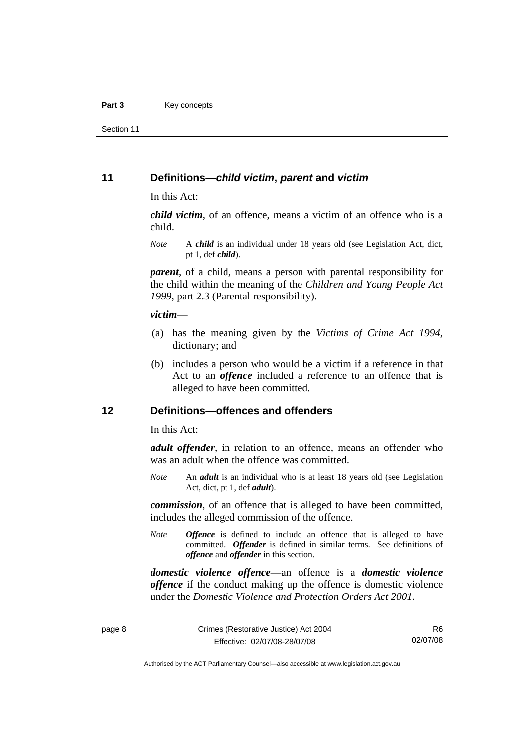<span id="page-15-0"></span>Section 11

### **11 Definitions—***child victim***,** *parent* **and** *victim*

In this Act:

*child victim*, of an offence, means a victim of an offence who is a child.

*Note* A *child* is an individual under 18 years old (see Legislation Act, dict, pt 1, def *child*).

*parent*, of a child, means a person with parental responsibility for the child within the meaning of the *Children and Young People Act 1999*, part 2.3 (Parental responsibility).

#### *victim*—

- (a) has the meaning given by the *Victims of Crime Act 1994*, dictionary; and
- (b) includes a person who would be a victim if a reference in that Act to an *offence* included a reference to an offence that is alleged to have been committed.

### **12 Definitions—offences and offenders**

In this Act:

*adult offender*, in relation to an offence, means an offender who was an adult when the offence was committed.

*Note* An *adult* is an individual who is at least 18 years old (see Legislation Act, dict, pt 1, def *adult*).

*commission*, of an offence that is alleged to have been committed, includes the alleged commission of the offence.

*Note Offence* is defined to include an offence that is alleged to have committed. *Offender* is defined in similar terms. See definitions of *offence* and *offender* in this section.

*domestic violence offence*—an offence is a *domestic violence offence* if the conduct making up the offence is domestic violence under the *Domestic Violence and Protection Orders Act 2001*.

Authorised by the ACT Parliamentary Counsel—also accessible at www.legislation.act.gov.au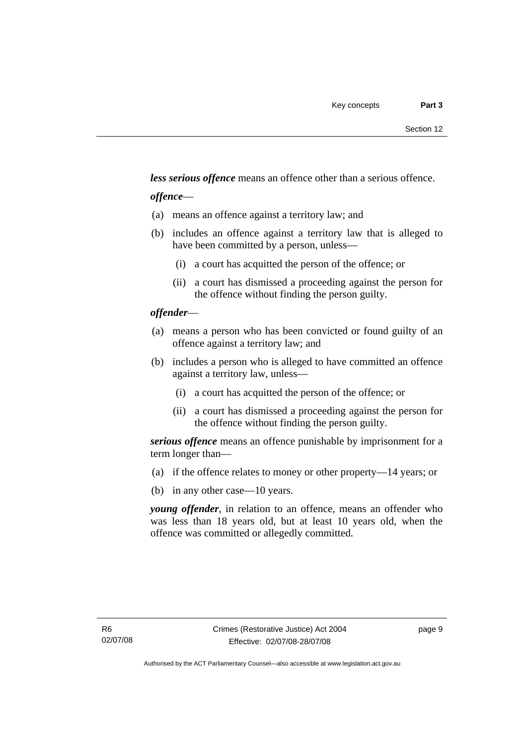*less serious offence* means an offence other than a serious offence.

### *offence*—

- (a) means an offence against a territory law; and
- (b) includes an offence against a territory law that is alleged to have been committed by a person, unless—
	- (i) a court has acquitted the person of the offence; or
	- (ii) a court has dismissed a proceeding against the person for the offence without finding the person guilty.

### *offender*—

- (a) means a person who has been convicted or found guilty of an offence against a territory law; and
- (b) includes a person who is alleged to have committed an offence against a territory law, unless—
	- (i) a court has acquitted the person of the offence; or
	- (ii) a court has dismissed a proceeding against the person for the offence without finding the person guilty.

*serious offence* means an offence punishable by imprisonment for a term longer than—

- (a) if the offence relates to money or other property—14 years; or
- (b) in any other case—10 years.

*young offender*, in relation to an offence, means an offender who was less than 18 years old, but at least 10 years old, when the offence was committed or allegedly committed.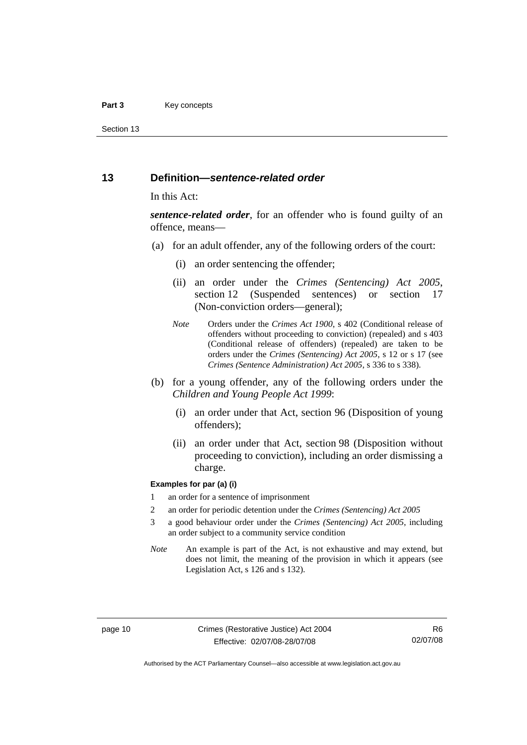#### <span id="page-17-0"></span>Part 3 **Key concepts**

Section 13

#### **13 Definition—***sentence-related order*

#### In this Act:

*sentence-related order*, for an offender who is found guilty of an offence, means—

- (a) for an adult offender, any of the following orders of the court:
	- (i) an order sentencing the offender;
	- (ii) an order under the *Crimes (Sentencing) Act 2005*, section 12 (Suspended sentences) or section 17 (Non-conviction orders—general);
	- *Note* Orders under the *Crimes Act 1900*, s 402 (Conditional release of offenders without proceeding to conviction) (repealed) and s 403 (Conditional release of offenders) (repealed) are taken to be orders under the *Crimes (Sentencing) Act 2005*, s 12 or s 17 (see *Crimes (Sentence Administration) Act 2005*, s 336 to s 338).
- (b) for a young offender, any of the following orders under the *Children and Young People Act 1999*:
	- (i) an order under that Act, section 96 (Disposition of young offenders);
	- (ii) an order under that Act, section 98 (Disposition without proceeding to conviction), including an order dismissing a charge.

#### **Examples for par (a) (i)**

- 1 an order for a sentence of imprisonment
- 2 an order for periodic detention under the *Crimes (Sentencing) Act 2005*
- 3 a good behaviour order under the *Crimes (Sentencing) Act 2005*, including an order subject to a community service condition
- *Note* An example is part of the Act, is not exhaustive and may extend, but does not limit, the meaning of the provision in which it appears (see Legislation Act, s 126 and s 132).

R6 02/07/08

Authorised by the ACT Parliamentary Counsel—also accessible at www.legislation.act.gov.au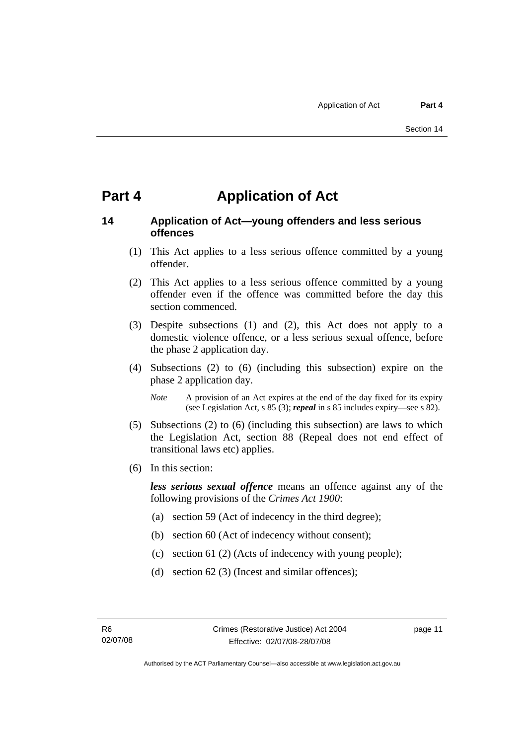# <span id="page-18-0"></span>**Part 4 Application of Act**

# **14 Application of Act—young offenders and less serious offences**

- (1) This Act applies to a less serious offence committed by a young offender.
- (2) This Act applies to a less serious offence committed by a young offender even if the offence was committed before the day this section commenced.
- (3) Despite subsections (1) and (2), this Act does not apply to a domestic violence offence, or a less serious sexual offence, before the phase 2 application day.
- (4) Subsections (2) to (6) (including this subsection) expire on the phase 2 application day.
	- *Note* A provision of an Act expires at the end of the day fixed for its expiry (see Legislation Act, s 85 (3); *repeal* in s 85 includes expiry—see s 82).
- (5) Subsections (2) to (6) (including this subsection) are laws to which the Legislation Act, section 88 (Repeal does not end effect of transitional laws etc) applies.
- (6) In this section:

*less serious sexual offence* means an offence against any of the following provisions of the *Crimes Act 1900*:

- (a) section 59 (Act of indecency in the third degree);
- (b) section 60 (Act of indecency without consent);
- (c) section 61 (2) (Acts of indecency with young people);
- (d) section 62 (3) (Incest and similar offences);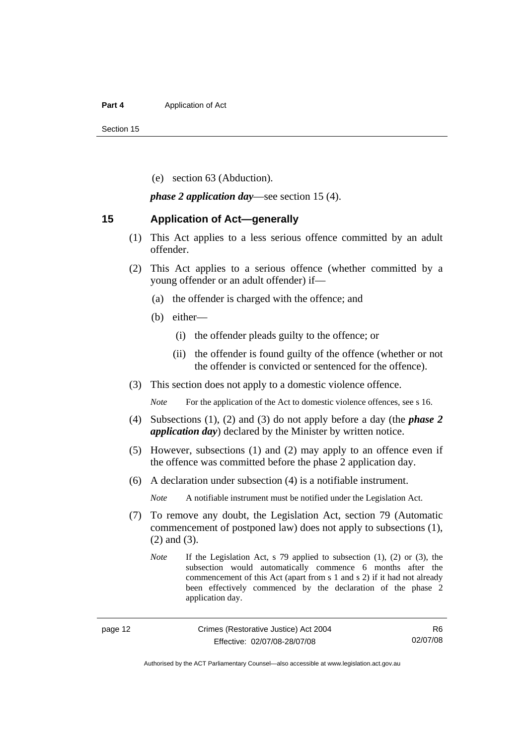#### <span id="page-19-0"></span>**Part 4 Application of Act**

Section 15

(e) section 63 (Abduction).

*phase 2 application day*—see section 15 (4).

#### **15 Application of Act—generally**

- (1) This Act applies to a less serious offence committed by an adult offender.
- (2) This Act applies to a serious offence (whether committed by a young offender or an adult offender) if—
	- (a) the offender is charged with the offence; and
	- (b) either—
		- (i) the offender pleads guilty to the offence; or
		- (ii) the offender is found guilty of the offence (whether or not the offender is convicted or sentenced for the offence).
- (3) This section does not apply to a domestic violence offence.

*Note* For the application of the Act to domestic violence offences, see s 16.

- (4) Subsections (1), (2) and (3) do not apply before a day (the *phase 2 application day*) declared by the Minister by written notice.
- (5) However, subsections (1) and (2) may apply to an offence even if the offence was committed before the phase 2 application day.
- (6) A declaration under subsection (4) is a notifiable instrument.

*Note* A notifiable instrument must be notified under the Legislation Act.

- (7) To remove any doubt, the Legislation Act, section 79 (Automatic commencement of postponed law) does not apply to subsections (1), (2) and (3).
	- *Note* If the Legislation Act, s 79 applied to subsection (1), (2) or (3), the subsection would automatically commence 6 months after the commencement of this Act (apart from s 1 and s 2) if it had not already been effectively commenced by the declaration of the phase 2 application day.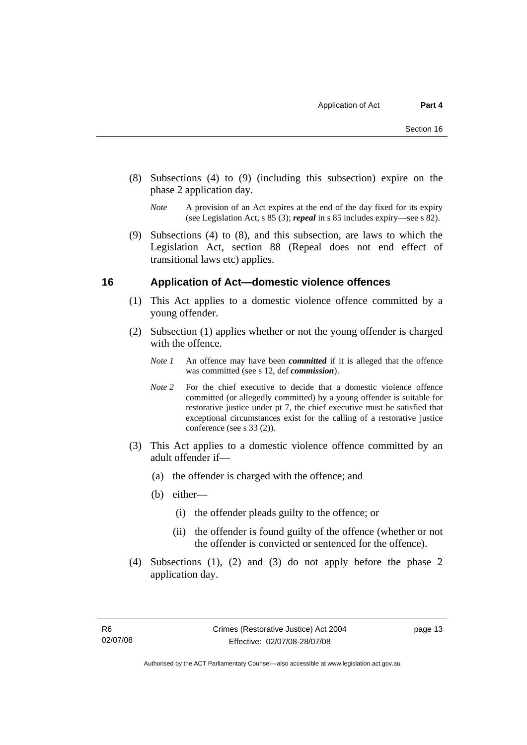- <span id="page-20-0"></span> (8) Subsections (4) to (9) (including this subsection) expire on the phase 2 application day.
	- *Note* A provision of an Act expires at the end of the day fixed for its expiry (see Legislation Act, s 85 (3); *repeal* in s 85 includes expiry—see s 82).
- (9) Subsections (4) to (8), and this subsection, are laws to which the Legislation Act, section 88 (Repeal does not end effect of transitional laws etc) applies.

### **16 Application of Act—domestic violence offences**

- (1) This Act applies to a domestic violence offence committed by a young offender.
- (2) Subsection (1) applies whether or not the young offender is charged with the offence.
	- *Note 1* An offence may have been *committed* if it is alleged that the offence was committed (see s 12, def *commission*).
	- *Note* 2 For the chief executive to decide that a domestic violence offence committed (or allegedly committed) by a young offender is suitable for restorative justice under pt 7, the chief executive must be satisfied that exceptional circumstances exist for the calling of a restorative justice conference (see s 33 (2)).
- (3) This Act applies to a domestic violence offence committed by an adult offender if—
	- (a) the offender is charged with the offence; and
	- (b) either—
		- (i) the offender pleads guilty to the offence; or
		- (ii) the offender is found guilty of the offence (whether or not the offender is convicted or sentenced for the offence).
- (4) Subsections (1), (2) and (3) do not apply before the phase 2 application day.

page 13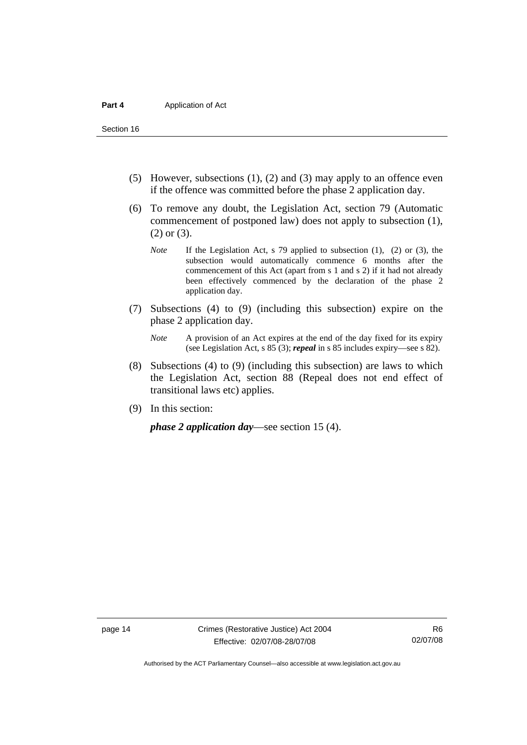Section 16

- (5) However, subsections (1), (2) and (3) may apply to an offence even if the offence was committed before the phase 2 application day.
- (6) To remove any doubt, the Legislation Act, section 79 (Automatic commencement of postponed law) does not apply to subsection (1), (2) or (3).
	- *Note* If the Legislation Act, s 79 applied to subsection (1), (2) or (3), the subsection would automatically commence 6 months after the commencement of this Act (apart from s 1 and s 2) if it had not already been effectively commenced by the declaration of the phase 2 application day.
- (7) Subsections (4) to (9) (including this subsection) expire on the phase 2 application day.
	- *Note* A provision of an Act expires at the end of the day fixed for its expiry (see Legislation Act, s 85 (3); *repeal* in s 85 includes expiry—see s 82).
- (8) Subsections (4) to (9) (including this subsection) are laws to which the Legislation Act, section 88 (Repeal does not end effect of transitional laws etc) applies.
- (9) In this section:

*phase 2 application day*—see section 15 (4).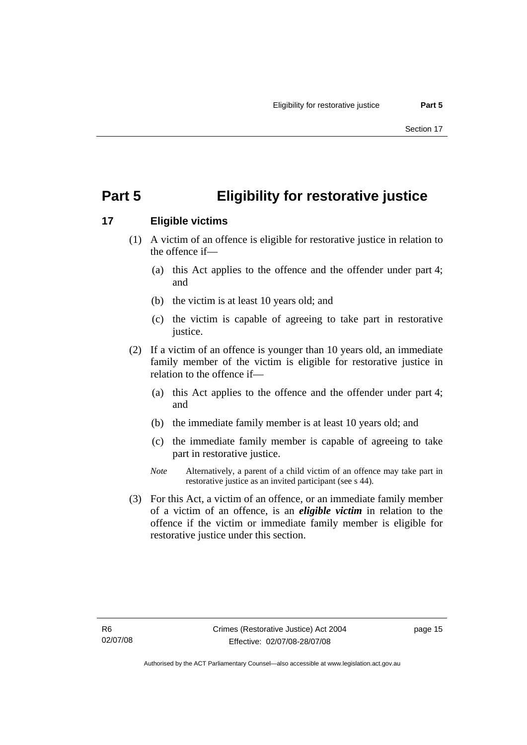# <span id="page-22-0"></span>**Part 5 Eligibility for restorative justice**

# **17 Eligible victims**

- (1) A victim of an offence is eligible for restorative justice in relation to the offence if—
	- (a) this Act applies to the offence and the offender under part 4; and
	- (b) the victim is at least 10 years old; and
	- (c) the victim is capable of agreeing to take part in restorative justice.
- (2) If a victim of an offence is younger than 10 years old, an immediate family member of the victim is eligible for restorative justice in relation to the offence if—
	- (a) this Act applies to the offence and the offender under part 4; and
	- (b) the immediate family member is at least 10 years old; and
	- (c) the immediate family member is capable of agreeing to take part in restorative justice.
	- *Note* Alternatively, a parent of a child victim of an offence may take part in restorative justice as an invited participant (see s 44).
- (3) For this Act, a victim of an offence, or an immediate family member of a victim of an offence, is an *eligible victim* in relation to the offence if the victim or immediate family member is eligible for restorative justice under this section.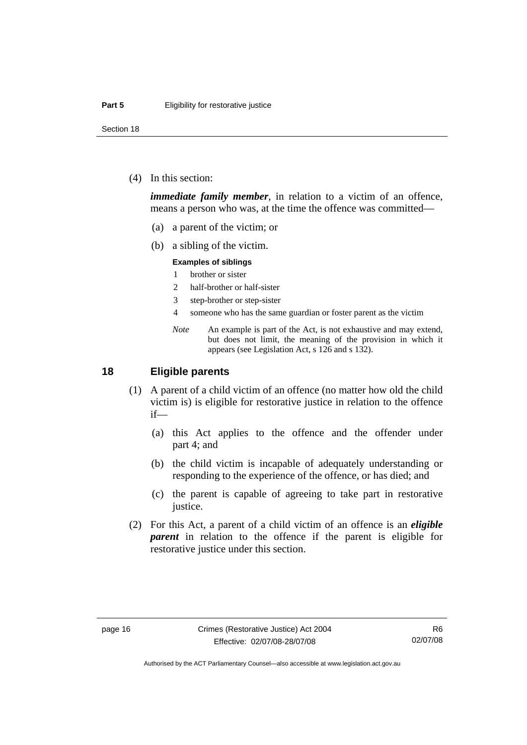<span id="page-23-0"></span>Section 18

(4) In this section:

*immediate family member*, in relation to a victim of an offence, means a person who was, at the time the offence was committed—

- (a) a parent of the victim; or
- (b) a sibling of the victim.

#### **Examples of siblings**

- 1 brother or sister
- 2 half-brother or half-sister
- 3 step-brother or step-sister
- 4 someone who has the same guardian or foster parent as the victim
- *Note* An example is part of the Act, is not exhaustive and may extend, but does not limit, the meaning of the provision in which it appears (see Legislation Act, s 126 and s 132).

### **18 Eligible parents**

- (1) A parent of a child victim of an offence (no matter how old the child victim is) is eligible for restorative justice in relation to the offence if—
	- (a) this Act applies to the offence and the offender under part 4; and
	- (b) the child victim is incapable of adequately understanding or responding to the experience of the offence, or has died; and
	- (c) the parent is capable of agreeing to take part in restorative justice.
- (2) For this Act, a parent of a child victim of an offence is an *eligible parent* in relation to the offence if the parent is eligible for restorative justice under this section.

Authorised by the ACT Parliamentary Counsel—also accessible at www.legislation.act.gov.au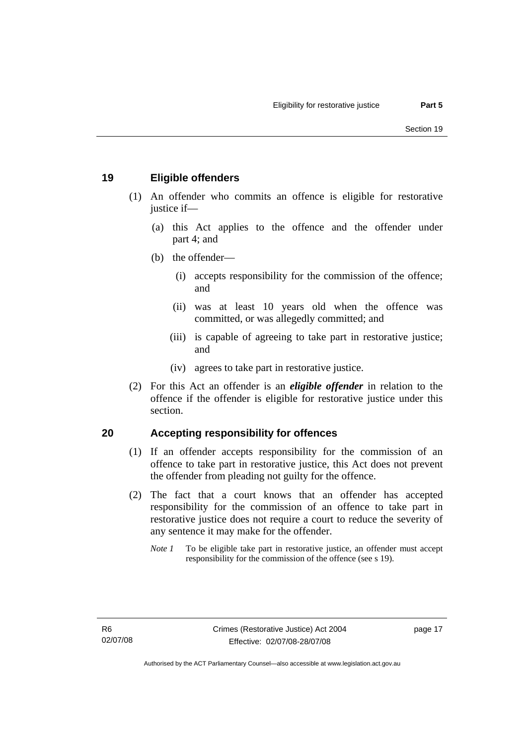# <span id="page-24-0"></span>**19 Eligible offenders**

- (1) An offender who commits an offence is eligible for restorative justice if-
	- (a) this Act applies to the offence and the offender under part 4; and
	- (b) the offender—
		- (i) accepts responsibility for the commission of the offence; and
		- (ii) was at least 10 years old when the offence was committed, or was allegedly committed; and
		- (iii) is capable of agreeing to take part in restorative justice; and
		- (iv) agrees to take part in restorative justice.
- (2) For this Act an offender is an *eligible offender* in relation to the offence if the offender is eligible for restorative justice under this section.

# **20 Accepting responsibility for offences**

- (1) If an offender accepts responsibility for the commission of an offence to take part in restorative justice, this Act does not prevent the offender from pleading not guilty for the offence.
- (2) The fact that a court knows that an offender has accepted responsibility for the commission of an offence to take part in restorative justice does not require a court to reduce the severity of any sentence it may make for the offender.
	- *Note 1* To be eligible take part in restorative justice, an offender must accept responsibility for the commission of the offence (see s 19).

page 17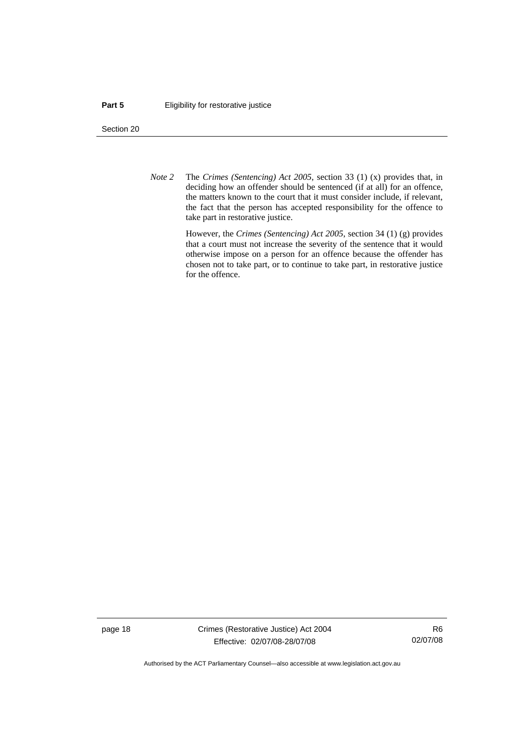#### **Part 5 Eligibility for restorative justice**

Section 20

*Note 2* The *Crimes (Sentencing) Act 2005*, section 33 (1) (x) provides that, in deciding how an offender should be sentenced (if at all) for an offence, the matters known to the court that it must consider include, if relevant, the fact that the person has accepted responsibility for the offence to take part in restorative justice.

> However, the *Crimes (Sentencing) Act 2005*, section 34 (1) (g) provides that a court must not increase the severity of the sentence that it would otherwise impose on a person for an offence because the offender has chosen not to take part, or to continue to take part, in restorative justice for the offence.

page 18 Crimes (Restorative Justice) Act 2004 Effective: 02/07/08-28/07/08

R6 02/07/08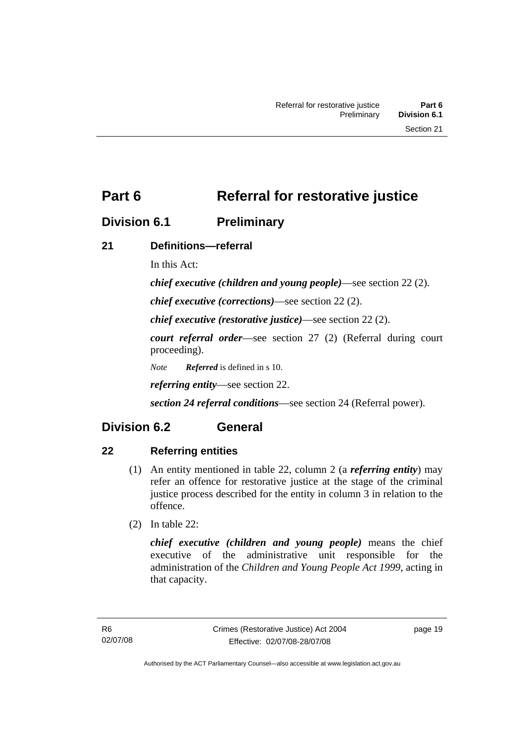# <span id="page-26-0"></span>**Division 6.1 Preliminary**

# **21 Definitions—referral**

In this Act:

*chief executive (children and young people)*—see section 22 (2).

*chief executive (corrections)*—see section 22 (2).

*chief executive (restorative justice)*—see section 22 (2).

*court referral order*—see section 27 (2) (Referral during court proceeding).

*Note Referred* is defined in s 10.

*referring entity*—see section 22.

*section 24 referral conditions*—see section 24 (Referral power).

# **Division 6.2 General**

# **22 Referring entities**

- (1) An entity mentioned in table 22, column 2 (a *referring entity*) may refer an offence for restorative justice at the stage of the criminal justice process described for the entity in column 3 in relation to the offence.
- (2) In table 22:

*chief executive (children and young people)* means the chief executive of the administrative unit responsible for the administration of the *Children and Young People Act 1999*, acting in that capacity.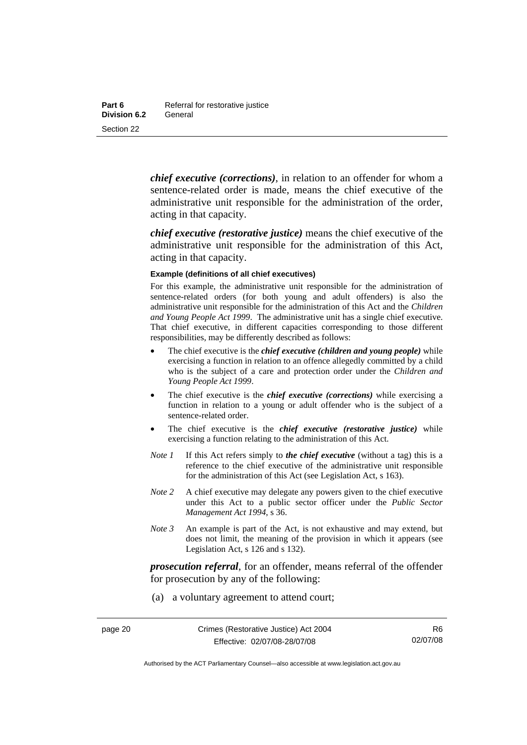*chief executive (corrections)*, in relation to an offender for whom a sentence-related order is made, means the chief executive of the administrative unit responsible for the administration of the order, acting in that capacity.

*chief executive (restorative justice)* means the chief executive of the administrative unit responsible for the administration of this Act, acting in that capacity.

#### **Example (definitions of all chief executives)**

For this example, the administrative unit responsible for the administration of sentence-related orders (for both young and adult offenders) is also the administrative unit responsible for the administration of this Act and the *Children and Young People Act 1999*. The administrative unit has a single chief executive. That chief executive, in different capacities corresponding to those different responsibilities, may be differently described as follows:

- The chief executive is the *chief executive (children and young people)* while exercising a function in relation to an offence allegedly committed by a child who is the subject of a care and protection order under the *Children and Young People Act 1999*.
- The chief executive is the *chief executive (corrections)* while exercising a function in relation to a young or adult offender who is the subject of a sentence-related order.
- The chief executive is the *chief executive (restorative justice)* while exercising a function relating to the administration of this Act.
- *Note 1* If this Act refers simply to *the chief executive* (without a tag) this is a reference to the chief executive of the administrative unit responsible for the administration of this Act (see Legislation Act, s 163).
- *Note 2* A chief executive may delegate any powers given to the chief executive under this Act to a public sector officer under the *Public Sector Management Act 1994*, s 36.
- *Note 3* An example is part of the Act, is not exhaustive and may extend, but does not limit, the meaning of the provision in which it appears (see Legislation Act, s 126 and s 132).

*prosecution referral*, for an offender, means referral of the offender for prosecution by any of the following:

(a) a voluntary agreement to attend court;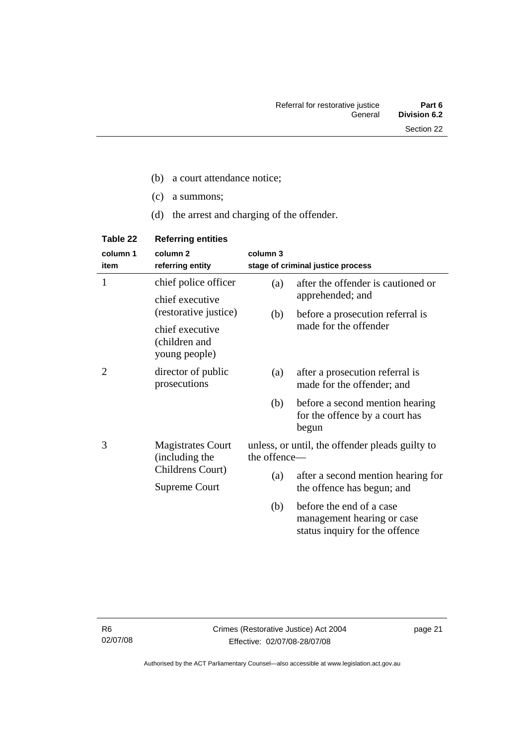- (c) a summons;
- (d) the arrest and charging of the offender.

| Table 22     | <b>Referring entities</b>                         |                                                                 |                                                                                          |
|--------------|---------------------------------------------------|-----------------------------------------------------------------|------------------------------------------------------------------------------------------|
| column 1     | column <sub>2</sub>                               | column 3                                                        |                                                                                          |
| item         | referring entity                                  |                                                                 | stage of criminal justice process                                                        |
| $\mathbf{1}$ | chief police officer                              | (a)                                                             | after the offender is cautioned or                                                       |
|              | chief executive                                   |                                                                 | apprehended; and                                                                         |
|              | (restorative justice)                             | (b)                                                             | before a prosecution referral is                                                         |
|              | chief executive<br>(children and<br>young people) |                                                                 | made for the offender                                                                    |
| 2            | director of public<br>prosecutions                | (a)                                                             | after a prosecution referral is<br>made for the offender; and                            |
|              |                                                   | (b)                                                             | before a second mention hearing<br>for the offence by a court has<br>begun               |
| 3            | <b>Magistrates Court</b><br>(including the        | unless, or until, the offender pleads guilty to<br>the offence- |                                                                                          |
|              | Childrens Court)                                  | (a)                                                             | after a second mention hearing for                                                       |
|              | <b>Supreme Court</b>                              |                                                                 | the offence has begun; and                                                               |
|              |                                                   | (b)                                                             | before the end of a case<br>management hearing or case<br>status inquiry for the offence |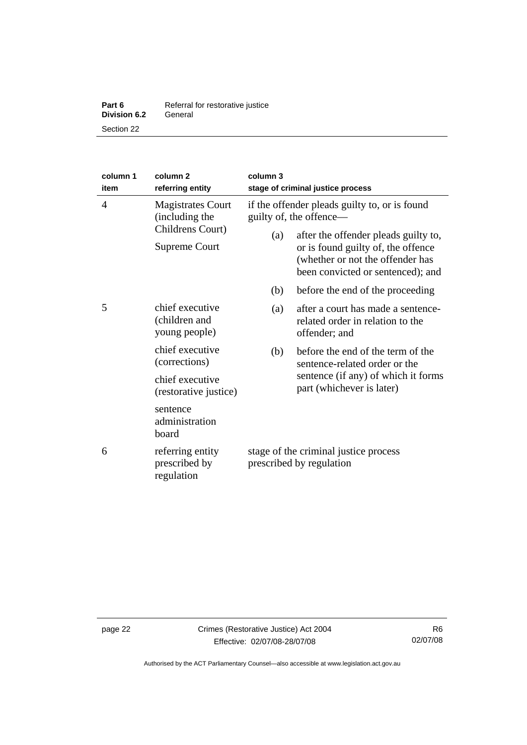| Part 6              | Referral for restorative justice |  |
|---------------------|----------------------------------|--|
| <b>Division 6.2</b> | General                          |  |
| Section 22          |                                  |  |

| column 1<br>item                 | column <sub>2</sub><br>referring entity                                         | column 3<br>stage of criminal justice process                      |                                                                                                                                                               |                                                                  |
|----------------------------------|---------------------------------------------------------------------------------|--------------------------------------------------------------------|---------------------------------------------------------------------------------------------------------------------------------------------------------------|------------------------------------------------------------------|
| $\overline{4}$                   | <b>Magistrates Court</b><br>(including the<br>Childrens Court)<br>Supreme Court |                                                                    | if the offender pleads guilty to, or is found<br>guilty of, the offence-<br>after the offender pleads guilty to,<br>(a)<br>or is found guilty of, the offence |                                                                  |
|                                  |                                                                                 |                                                                    | (whether or not the offender has<br>been convicted or sentenced); and                                                                                         |                                                                  |
|                                  |                                                                                 | (b)                                                                | before the end of the proceeding                                                                                                                              |                                                                  |
| 5                                | chief executive<br>(children and<br>young people)                               | (a)                                                                | after a court has made a sentence-<br>related order in relation to the<br>offender; and                                                                       |                                                                  |
| chief executive<br>(corrections) | (b)                                                                             | before the end of the term of the<br>sentence-related order or the |                                                                                                                                                               |                                                                  |
|                                  | chief executive<br>(restorative justice)                                        |                                                                    |                                                                                                                                                               | sentence (if any) of which it forms<br>part (whichever is later) |
|                                  | sentence<br>administration<br>board                                             |                                                                    |                                                                                                                                                               |                                                                  |
| 6                                | referring entity<br>prescribed by<br>regulation                                 | stage of the criminal justice process<br>prescribed by regulation  |                                                                                                                                                               |                                                                  |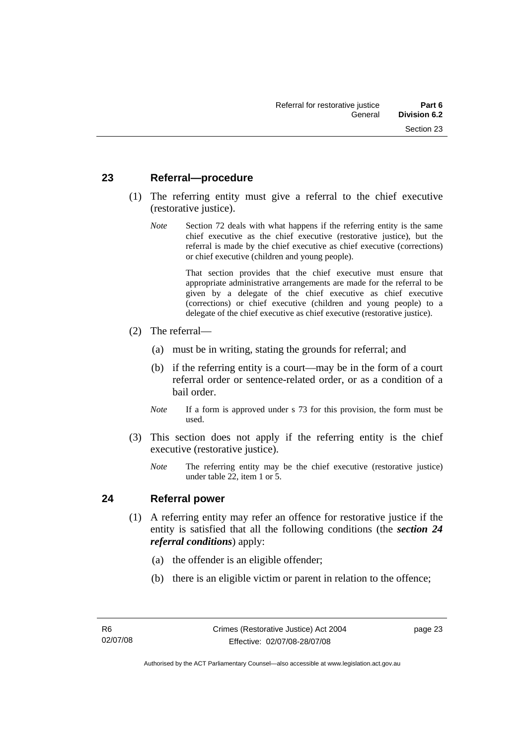### <span id="page-30-0"></span>**23 Referral—procedure**

- (1) The referring entity must give a referral to the chief executive (restorative justice).
	- *Note* Section 72 deals with what happens if the referring entity is the same chief executive as the chief executive (restorative justice), but the referral is made by the chief executive as chief executive (corrections) or chief executive (children and young people).

 That section provides that the chief executive must ensure that appropriate administrative arrangements are made for the referral to be given by a delegate of the chief executive as chief executive (corrections) or chief executive (children and young people) to a delegate of the chief executive as chief executive (restorative justice).

- (2) The referral—
	- (a) must be in writing, stating the grounds for referral; and
	- (b) if the referring entity is a court—may be in the form of a court referral order or sentence-related order, or as a condition of a bail order.
	- *Note* If a form is approved under s 73 for this provision, the form must be used.
- (3) This section does not apply if the referring entity is the chief executive (restorative justice).
	- *Note* The referring entity may be the chief executive (restorative justice) under table 22, item 1 or 5.

### **24 Referral power**

- (1) A referring entity may refer an offence for restorative justice if the entity is satisfied that all the following conditions (the *section 24 referral conditions*) apply:
	- (a) the offender is an eligible offender;
	- (b) there is an eligible victim or parent in relation to the offence;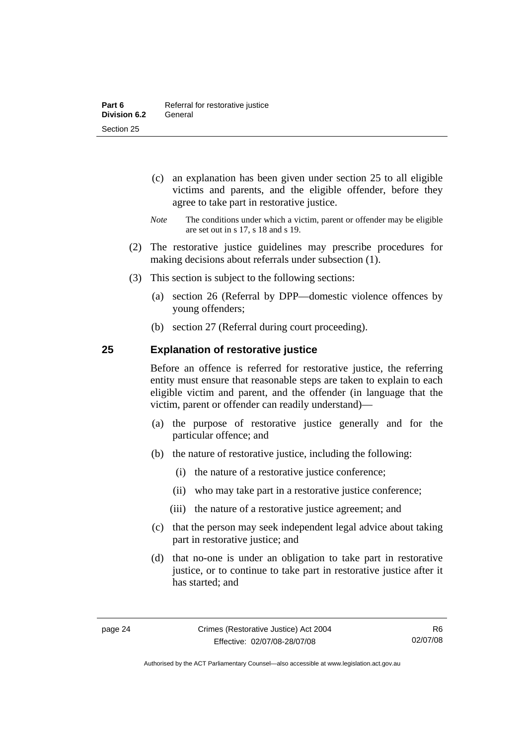- <span id="page-31-0"></span> (c) an explanation has been given under section 25 to all eligible victims and parents, and the eligible offender, before they agree to take part in restorative justice.
- *Note* The conditions under which a victim, parent or offender may be eligible are set out in s 17, s 18 and s 19.
- (2) The restorative justice guidelines may prescribe procedures for making decisions about referrals under subsection (1).
- (3) This section is subject to the following sections:
	- (a) section 26 (Referral by DPP—domestic violence offences by young offenders;
	- (b) section 27 (Referral during court proceeding).

# **25 Explanation of restorative justice**

Before an offence is referred for restorative justice, the referring entity must ensure that reasonable steps are taken to explain to each eligible victim and parent, and the offender (in language that the victim, parent or offender can readily understand)—

- (a) the purpose of restorative justice generally and for the particular offence; and
- (b) the nature of restorative justice, including the following:
	- (i) the nature of a restorative justice conference;
	- (ii) who may take part in a restorative justice conference;
	- (iii) the nature of a restorative justice agreement; and
- (c) that the person may seek independent legal advice about taking part in restorative justice; and
- (d) that no-one is under an obligation to take part in restorative justice, or to continue to take part in restorative justice after it has started; and

Authorised by the ACT Parliamentary Counsel—also accessible at www.legislation.act.gov.au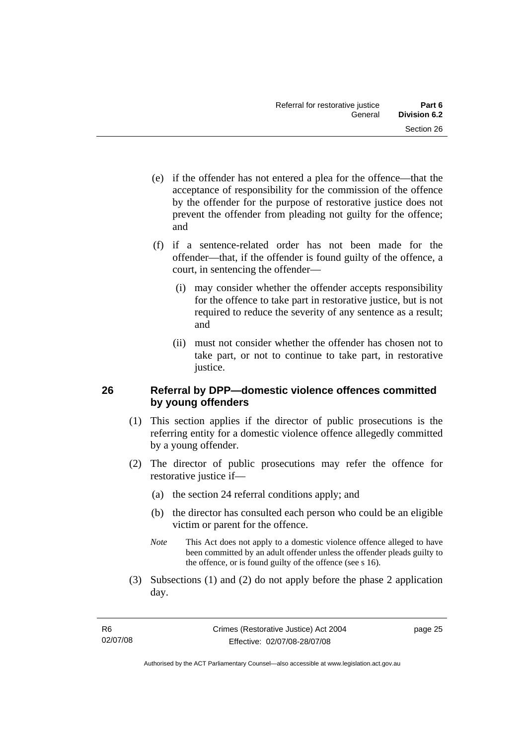- <span id="page-32-0"></span> (e) if the offender has not entered a plea for the offence—that the acceptance of responsibility for the commission of the offence by the offender for the purpose of restorative justice does not prevent the offender from pleading not guilty for the offence; and
- (f) if a sentence-related order has not been made for the offender—that, if the offender is found guilty of the offence, a court, in sentencing the offender—
	- (i) may consider whether the offender accepts responsibility for the offence to take part in restorative justice, but is not required to reduce the severity of any sentence as a result; and
	- (ii) must not consider whether the offender has chosen not to take part, or not to continue to take part, in restorative justice.

# **26 Referral by DPP—domestic violence offences committed by young offenders**

- (1) This section applies if the director of public prosecutions is the referring entity for a domestic violence offence allegedly committed by a young offender.
- (2) The director of public prosecutions may refer the offence for restorative justice if—
	- (a) the section 24 referral conditions apply; and
	- (b) the director has consulted each person who could be an eligible victim or parent for the offence.
	- *Note* This Act does not apply to a domestic violence offence alleged to have been committed by an adult offender unless the offender pleads guilty to the offence, or is found guilty of the offence (see s 16).
- (3) Subsections (1) and (2) do not apply before the phase 2 application day.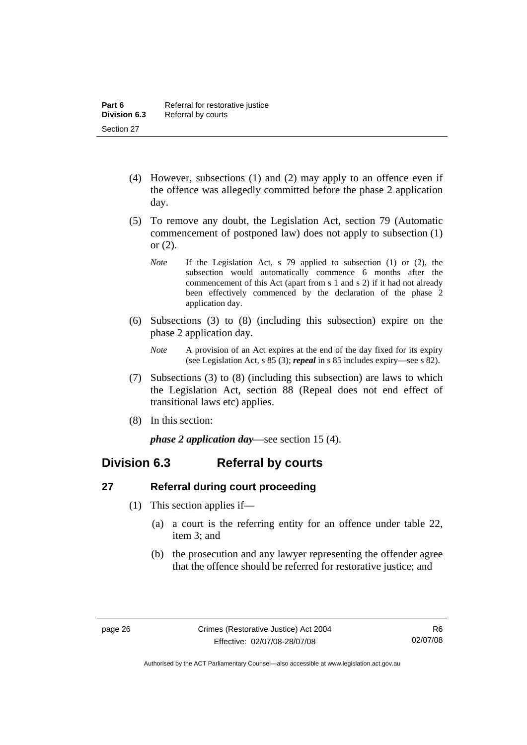- <span id="page-33-0"></span> (4) However, subsections (1) and (2) may apply to an offence even if the offence was allegedly committed before the phase 2 application day.
- (5) To remove any doubt, the Legislation Act, section 79 (Automatic commencement of postponed law) does not apply to subsection (1) or (2).
	- *Note* If the Legislation Act, s 79 applied to subsection (1) or (2), the subsection would automatically commence 6 months after the commencement of this Act (apart from s 1 and s 2) if it had not already been effectively commenced by the declaration of the phase 2 application day.
- (6) Subsections (3) to (8) (including this subsection) expire on the phase 2 application day.
	- *Note* A provision of an Act expires at the end of the day fixed for its expiry (see Legislation Act, s 85 (3); *repeal* in s 85 includes expiry—see s 82).
- (7) Subsections (3) to (8) (including this subsection) are laws to which the Legislation Act, section 88 (Repeal does not end effect of transitional laws etc) applies.
- (8) In this section:

*phase 2 application day*—see section 15 (4).

# **Division 6.3 Referral by courts**

# **27 Referral during court proceeding**

- (1) This section applies if—
	- (a) a court is the referring entity for an offence under table 22, item 3; and
	- (b) the prosecution and any lawyer representing the offender agree that the offence should be referred for restorative justice; and

Authorised by the ACT Parliamentary Counsel—also accessible at www.legislation.act.gov.au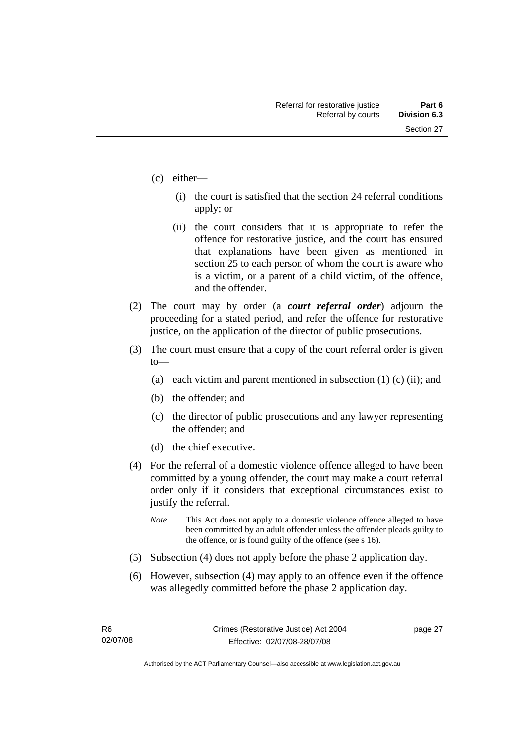- (c) either—
	- (i) the court is satisfied that the section 24 referral conditions apply; or
	- (ii) the court considers that it is appropriate to refer the offence for restorative justice, and the court has ensured that explanations have been given as mentioned in section 25 to each person of whom the court is aware who is a victim, or a parent of a child victim, of the offence, and the offender.
- (2) The court may by order (a *court referral order*) adjourn the proceeding for a stated period, and refer the offence for restorative justice, on the application of the director of public prosecutions.
- (3) The court must ensure that a copy of the court referral order is given to—
	- (a) each victim and parent mentioned in subsection  $(1)$  (c) (ii); and
	- (b) the offender; and
	- (c) the director of public prosecutions and any lawyer representing the offender; and
	- (d) the chief executive.
- (4) For the referral of a domestic violence offence alleged to have been committed by a young offender, the court may make a court referral order only if it considers that exceptional circumstances exist to justify the referral.
	- *Note* This Act does not apply to a domestic violence offence alleged to have been committed by an adult offender unless the offender pleads guilty to the offence, or is found guilty of the offence (see s 16).
- (5) Subsection (4) does not apply before the phase 2 application day.
- (6) However, subsection (4) may apply to an offence even if the offence was allegedly committed before the phase 2 application day.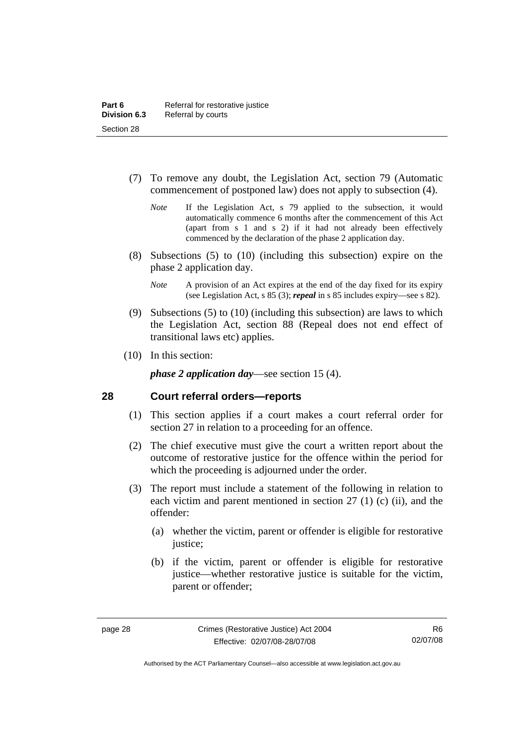- <span id="page-35-0"></span> (7) To remove any doubt, the Legislation Act, section 79 (Automatic commencement of postponed law) does not apply to subsection (4).
	- *Note* If the Legislation Act, s 79 applied to the subsection, it would automatically commence 6 months after the commencement of this Act (apart from s 1 and s 2) if it had not already been effectively commenced by the declaration of the phase 2 application day.
- (8) Subsections (5) to (10) (including this subsection) expire on the phase 2 application day.
	- *Note* A provision of an Act expires at the end of the day fixed for its expiry (see Legislation Act, s 85 (3); *repeal* in s 85 includes expiry—see s 82).
- (9) Subsections (5) to (10) (including this subsection) are laws to which the Legislation Act, section 88 (Repeal does not end effect of transitional laws etc) applies.
- (10) In this section:

*phase 2 application day*—see section 15 (4).

### **28 Court referral orders—reports**

- (1) This section applies if a court makes a court referral order for section 27 in relation to a proceeding for an offence.
- (2) The chief executive must give the court a written report about the outcome of restorative justice for the offence within the period for which the proceeding is adjourned under the order.
- (3) The report must include a statement of the following in relation to each victim and parent mentioned in section 27 (1) (c) (ii), and the offender:
	- (a) whether the victim, parent or offender is eligible for restorative justice;
	- (b) if the victim, parent or offender is eligible for restorative justice—whether restorative justice is suitable for the victim, parent or offender;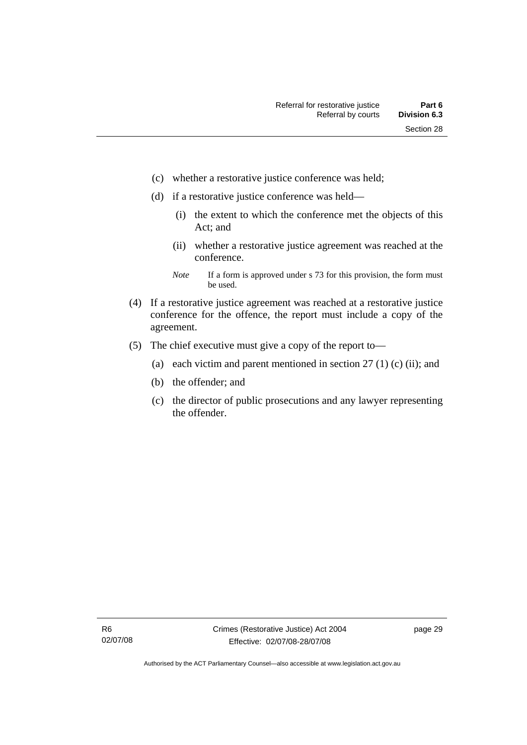- (c) whether a restorative justice conference was held;
- (d) if a restorative justice conference was held—
	- (i) the extent to which the conference met the objects of this Act; and
	- (ii) whether a restorative justice agreement was reached at the conference.
	- *Note* If a form is approved under s 73 for this provision, the form must be used.
- (4) If a restorative justice agreement was reached at a restorative justice conference for the offence, the report must include a copy of the agreement.
- (5) The chief executive must give a copy of the report to—
	- (a) each victim and parent mentioned in section  $27(1)$  (c) (ii); and
	- (b) the offender; and
	- (c) the director of public prosecutions and any lawyer representing the offender.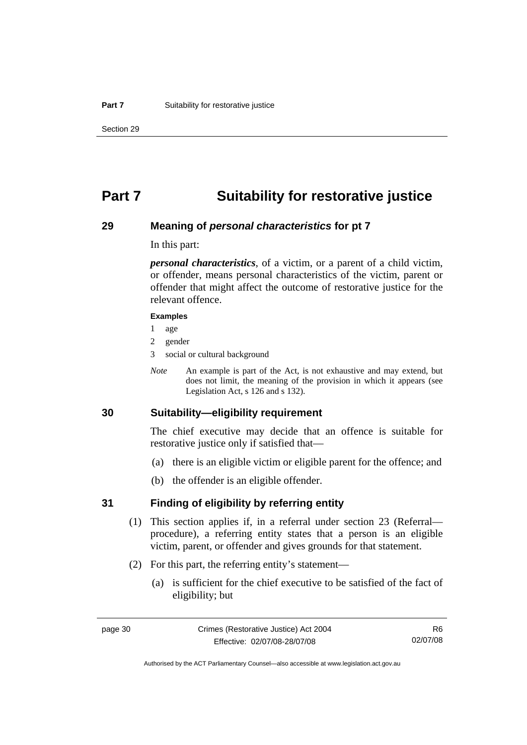## **Part 7 Suitability for restorative justice**

### **29 Meaning of** *personal characteristics* **for pt 7**

In this part:

*personal characteristics*, of a victim, or a parent of a child victim, or offender, means personal characteristics of the victim, parent or offender that might affect the outcome of restorative justice for the relevant offence.

#### **Examples**

- 1 age
- 2 gender
- 3 social or cultural background
- *Note* An example is part of the Act, is not exhaustive and may extend, but does not limit, the meaning of the provision in which it appears (see Legislation Act, s 126 and s 132).

## **30 Suitability—eligibility requirement**

The chief executive may decide that an offence is suitable for restorative justice only if satisfied that—

- (a) there is an eligible victim or eligible parent for the offence; and
- (b) the offender is an eligible offender.

### **31 Finding of eligibility by referring entity**

- (1) This section applies if, in a referral under section 23 (Referral procedure), a referring entity states that a person is an eligible victim, parent, or offender and gives grounds for that statement.
- (2) For this part, the referring entity's statement—
	- (a) is sufficient for the chief executive to be satisfied of the fact of eligibility; but

R6 02/07/08

Authorised by the ACT Parliamentary Counsel—also accessible at www.legislation.act.gov.au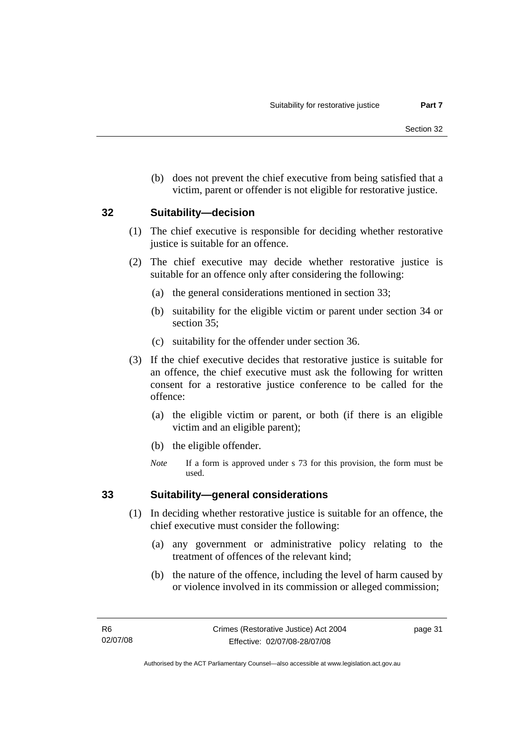(b) does not prevent the chief executive from being satisfied that a victim, parent or offender is not eligible for restorative justice.

## **32 Suitability—decision**

- (1) The chief executive is responsible for deciding whether restorative justice is suitable for an offence.
- (2) The chief executive may decide whether restorative justice is suitable for an offence only after considering the following:
	- (a) the general considerations mentioned in section 33;
	- (b) suitability for the eligible victim or parent under section 34 or section 35:
	- (c) suitability for the offender under section 36.
- (3) If the chief executive decides that restorative justice is suitable for an offence, the chief executive must ask the following for written consent for a restorative justice conference to be called for the offence:
	- (a) the eligible victim or parent, or both (if there is an eligible victim and an eligible parent);
	- (b) the eligible offender.
	- *Note* If a form is approved under s 73 for this provision, the form must be used.

## **33 Suitability—general considerations**

- (1) In deciding whether restorative justice is suitable for an offence, the chief executive must consider the following:
	- (a) any government or administrative policy relating to the treatment of offences of the relevant kind;
	- (b) the nature of the offence, including the level of harm caused by or violence involved in its commission or alleged commission;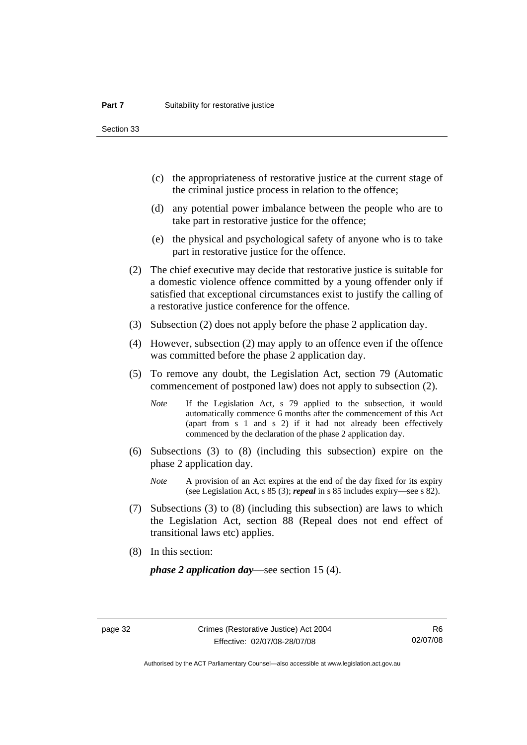Section 33

- (c) the appropriateness of restorative justice at the current stage of the criminal justice process in relation to the offence;
- (d) any potential power imbalance between the people who are to take part in restorative justice for the offence;
- (e) the physical and psychological safety of anyone who is to take part in restorative justice for the offence.
- (2) The chief executive may decide that restorative justice is suitable for a domestic violence offence committed by a young offender only if satisfied that exceptional circumstances exist to justify the calling of a restorative justice conference for the offence.
- (3) Subsection (2) does not apply before the phase 2 application day.
- (4) However, subsection (2) may apply to an offence even if the offence was committed before the phase 2 application day.
- (5) To remove any doubt, the Legislation Act, section 79 (Automatic commencement of postponed law) does not apply to subsection (2).
	- *Note* If the Legislation Act, s 79 applied to the subsection, it would automatically commence 6 months after the commencement of this Act (apart from s 1 and s 2) if it had not already been effectively commenced by the declaration of the phase 2 application day.
- (6) Subsections (3) to (8) (including this subsection) expire on the phase 2 application day.
	- *Note* A provision of an Act expires at the end of the day fixed for its expiry (see Legislation Act, s 85 (3); *repeal* in s 85 includes expiry—see s 82).
- (7) Subsections (3) to (8) (including this subsection) are laws to which the Legislation Act, section 88 (Repeal does not end effect of transitional laws etc) applies.
- (8) In this section:

*phase 2 application day*—see section 15 (4).

Authorised by the ACT Parliamentary Counsel—also accessible at www.legislation.act.gov.au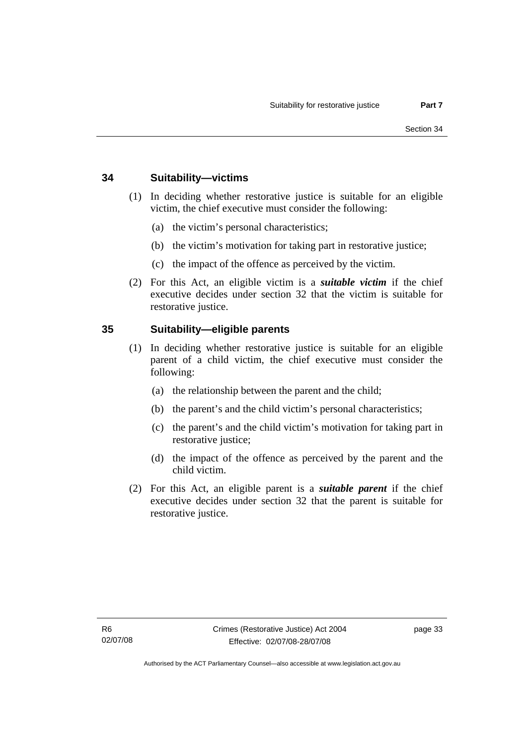## **34 Suitability—victims**

- (1) In deciding whether restorative justice is suitable for an eligible victim, the chief executive must consider the following:
	- (a) the victim's personal characteristics;
	- (b) the victim's motivation for taking part in restorative justice;
	- (c) the impact of the offence as perceived by the victim.
- (2) For this Act, an eligible victim is a *suitable victim* if the chief executive decides under section 32 that the victim is suitable for restorative justice.

## **35 Suitability—eligible parents**

- (1) In deciding whether restorative justice is suitable for an eligible parent of a child victim, the chief executive must consider the following:
	- (a) the relationship between the parent and the child;
	- (b) the parent's and the child victim's personal characteristics;
	- (c) the parent's and the child victim's motivation for taking part in restorative justice;
	- (d) the impact of the offence as perceived by the parent and the child victim.
- (2) For this Act, an eligible parent is a *suitable parent* if the chief executive decides under section 32 that the parent is suitable for restorative justice.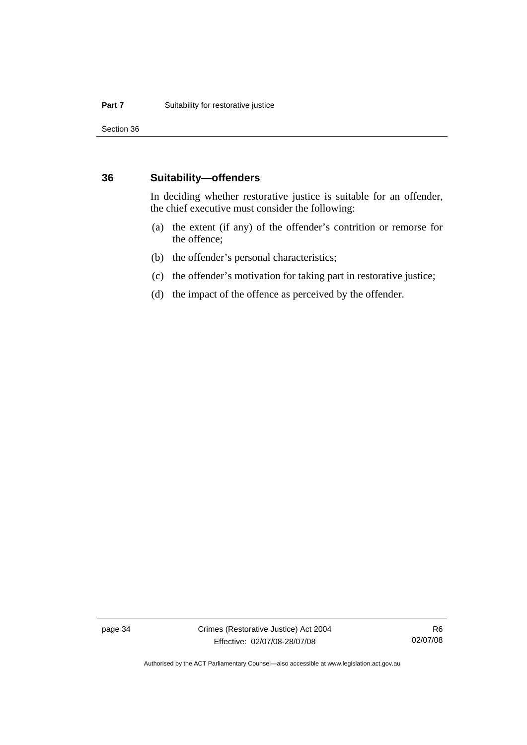Section 36

### **36 Suitability—offenders**

In deciding whether restorative justice is suitable for an offender, the chief executive must consider the following:

- (a) the extent (if any) of the offender's contrition or remorse for the offence;
- (b) the offender's personal characteristics;
- (c) the offender's motivation for taking part in restorative justice;
- (d) the impact of the offence as perceived by the offender.

page 34 Crimes (Restorative Justice) Act 2004 Effective: 02/07/08-28/07/08

R6 02/07/08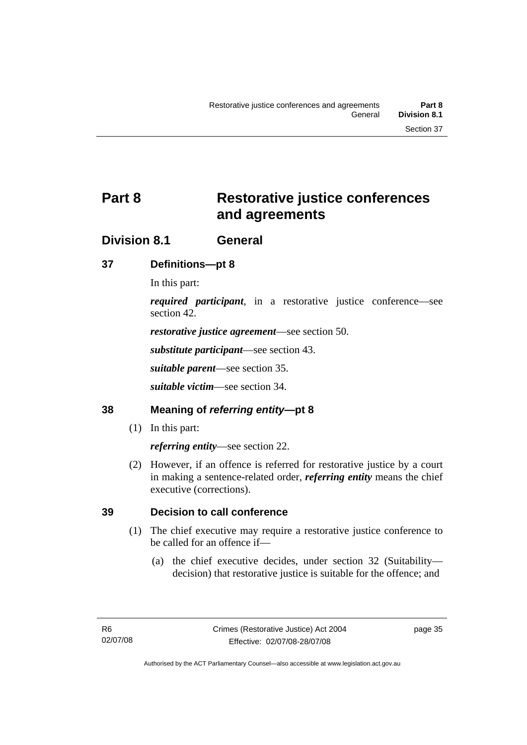# **Part 8 Restorative justice conferences and agreements**

## **Division 8.1 General**

## **37 Definitions—pt 8**

In this part:

*required participant*, in a restorative justice conference—see section 42.

*restorative justice agreement*—see section 50.

*substitute participant*—see section 43.

*suitable parent*—see section 35.

*suitable victim*—see section 34.

## **38 Meaning of** *referring entity***—pt 8**

(1) In this part:

*referring entity*—see section 22.

 (2) However, if an offence is referred for restorative justice by a court in making a sentence-related order, *referring entity* means the chief executive (corrections).

## **39 Decision to call conference**

- (1) The chief executive may require a restorative justice conference to be called for an offence if—
	- (a) the chief executive decides, under section 32 (Suitability decision) that restorative justice is suitable for the offence; and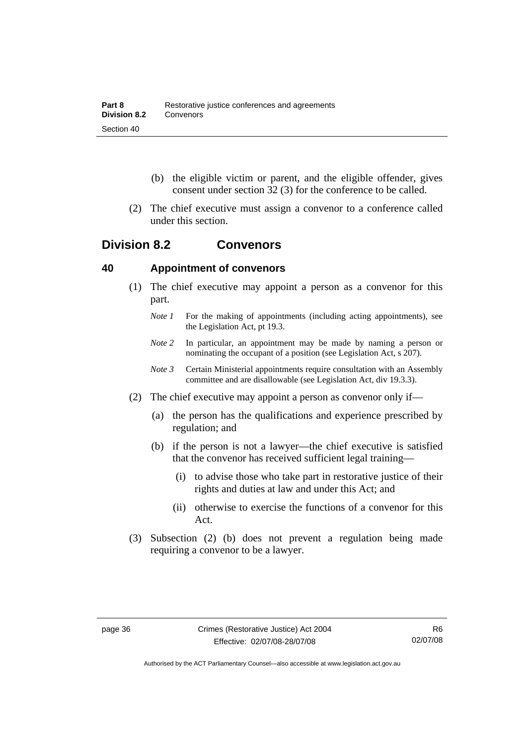- (b) the eligible victim or parent, and the eligible offender, gives consent under section 32 (3) for the conference to be called.
- (2) The chief executive must assign a convenor to a conference called under this section.

## **Division 8.2 Convenors**

## **40 Appointment of convenors**

- (1) The chief executive may appoint a person as a convenor for this part.
	- *Note 1* For the making of appointments (including acting appointments), see the Legislation Act, pt 19.3.
	- *Note 2* In particular, an appointment may be made by naming a person or nominating the occupant of a position (see Legislation Act, s 207).
	- *Note 3* Certain Ministerial appointments require consultation with an Assembly committee and are disallowable (see Legislation Act, div 19.3.3).
- (2) The chief executive may appoint a person as convenor only if—
	- (a) the person has the qualifications and experience prescribed by regulation; and
	- (b) if the person is not a lawyer—the chief executive is satisfied that the convenor has received sufficient legal training—
		- (i) to advise those who take part in restorative justice of their rights and duties at law and under this Act; and
		- (ii) otherwise to exercise the functions of a convenor for this Act.
- (3) Subsection (2) (b) does not prevent a regulation being made requiring a convenor to be a lawyer.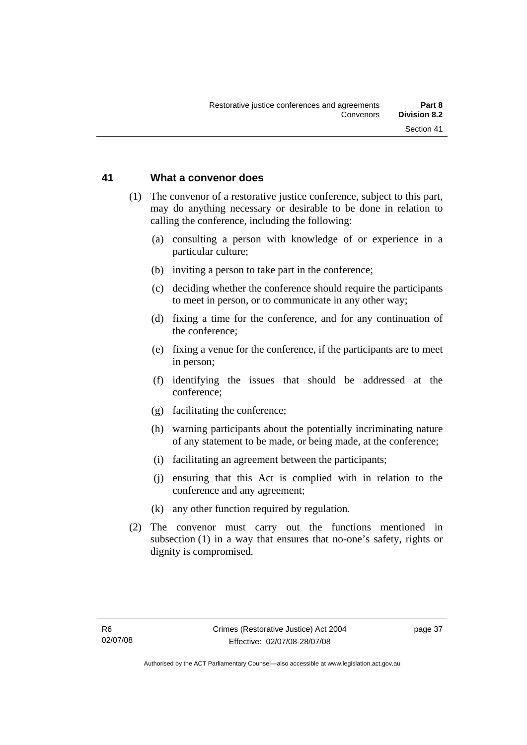## **41 What a convenor does**

- (1) The convenor of a restorative justice conference, subject to this part, may do anything necessary or desirable to be done in relation to calling the conference, including the following:
	- (a) consulting a person with knowledge of or experience in a particular culture;
	- (b) inviting a person to take part in the conference;
	- (c) deciding whether the conference should require the participants to meet in person, or to communicate in any other way;
	- (d) fixing a time for the conference, and for any continuation of the conference;
	- (e) fixing a venue for the conference, if the participants are to meet in person;
	- (f) identifying the issues that should be addressed at the conference;
	- (g) facilitating the conference;
	- (h) warning participants about the potentially incriminating nature of any statement to be made, or being made, at the conference;
	- (i) facilitating an agreement between the participants;
	- (j) ensuring that this Act is complied with in relation to the conference and any agreement;
	- (k) any other function required by regulation.
- (2) The convenor must carry out the functions mentioned in subsection (1) in a way that ensures that no-one's safety, rights or dignity is compromised.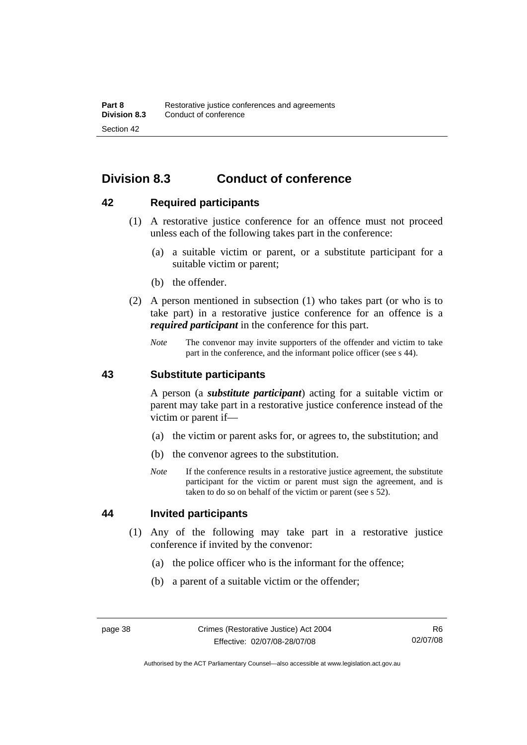## **Division 8.3 Conduct of conference**

## **42 Required participants**

- (1) A restorative justice conference for an offence must not proceed unless each of the following takes part in the conference:
	- (a) a suitable victim or parent, or a substitute participant for a suitable victim or parent;
	- (b) the offender.
- (2) A person mentioned in subsection (1) who takes part (or who is to take part) in a restorative justice conference for an offence is a *required participant* in the conference for this part.
	- *Note* The convenor may invite supporters of the offender and victim to take part in the conference, and the informant police officer (see s 44).

## **43 Substitute participants**

A person (a *substitute participant*) acting for a suitable victim or parent may take part in a restorative justice conference instead of the victim or parent if—

- (a) the victim or parent asks for, or agrees to, the substitution; and
- (b) the convenor agrees to the substitution.
- *Note* If the conference results in a restorative justice agreement, the substitute participant for the victim or parent must sign the agreement, and is taken to do so on behalf of the victim or parent (see s 52).

## **44 Invited participants**

- (1) Any of the following may take part in a restorative justice conference if invited by the convenor:
	- (a) the police officer who is the informant for the offence;
	- (b) a parent of a suitable victim or the offender;

Authorised by the ACT Parliamentary Counsel—also accessible at www.legislation.act.gov.au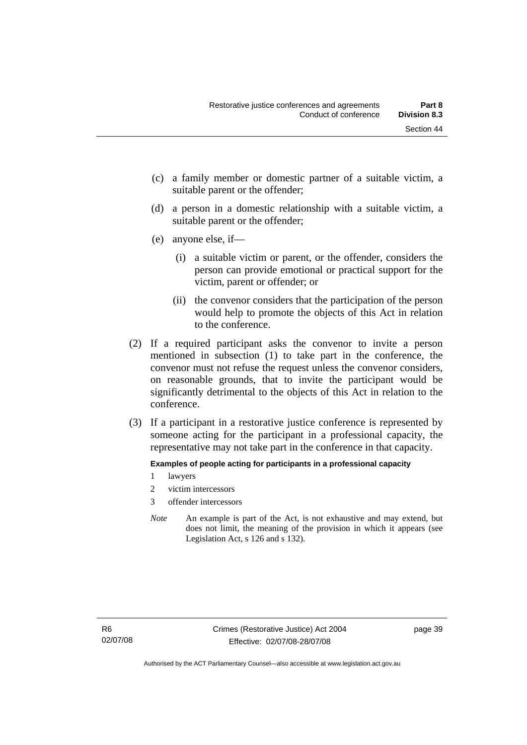- (c) a family member or domestic partner of a suitable victim, a suitable parent or the offender;
- (d) a person in a domestic relationship with a suitable victim, a suitable parent or the offender;
- (e) anyone else, if—
	- (i) a suitable victim or parent, or the offender, considers the person can provide emotional or practical support for the victim, parent or offender; or
	- (ii) the convenor considers that the participation of the person would help to promote the objects of this Act in relation to the conference.
- (2) If a required participant asks the convenor to invite a person mentioned in subsection (1) to take part in the conference, the convenor must not refuse the request unless the convenor considers, on reasonable grounds, that to invite the participant would be significantly detrimental to the objects of this Act in relation to the conference.
- (3) If a participant in a restorative justice conference is represented by someone acting for the participant in a professional capacity, the representative may not take part in the conference in that capacity.

### **Examples of people acting for participants in a professional capacity**

- 1 lawyers
- 2 victim intercessors
- 3 offender intercessors
- *Note* An example is part of the Act, is not exhaustive and may extend, but does not limit, the meaning of the provision in which it appears (see Legislation Act, s 126 and s 132).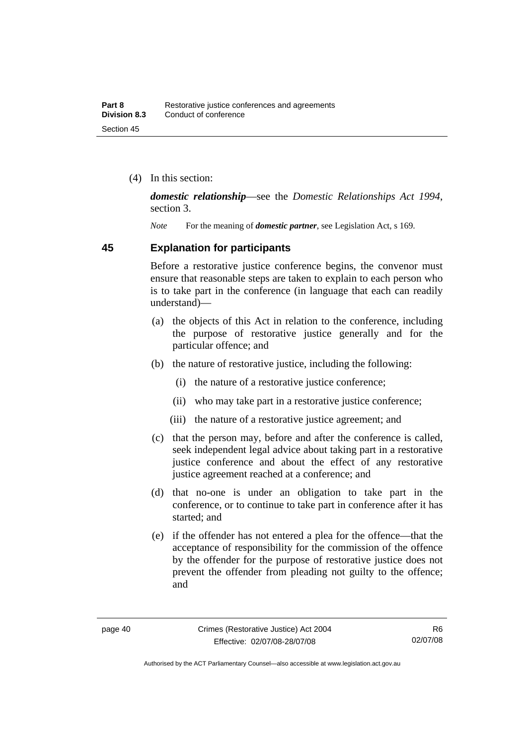(4) In this section:

*domestic relationship*—see the *Domestic Relationships Act 1994*, section 3.

*Note* For the meaning of *domestic partner*, see Legislation Act, s 169.

### **45 Explanation for participants**

Before a restorative justice conference begins, the convenor must ensure that reasonable steps are taken to explain to each person who is to take part in the conference (in language that each can readily understand)—

- (a) the objects of this Act in relation to the conference, including the purpose of restorative justice generally and for the particular offence; and
- (b) the nature of restorative justice, including the following:
	- (i) the nature of a restorative justice conference;
	- (ii) who may take part in a restorative justice conference;
	- (iii) the nature of a restorative justice agreement; and
- (c) that the person may, before and after the conference is called, seek independent legal advice about taking part in a restorative justice conference and about the effect of any restorative justice agreement reached at a conference; and
- (d) that no-one is under an obligation to take part in the conference, or to continue to take part in conference after it has started; and
- (e) if the offender has not entered a plea for the offence—that the acceptance of responsibility for the commission of the offence by the offender for the purpose of restorative justice does not prevent the offender from pleading not guilty to the offence; and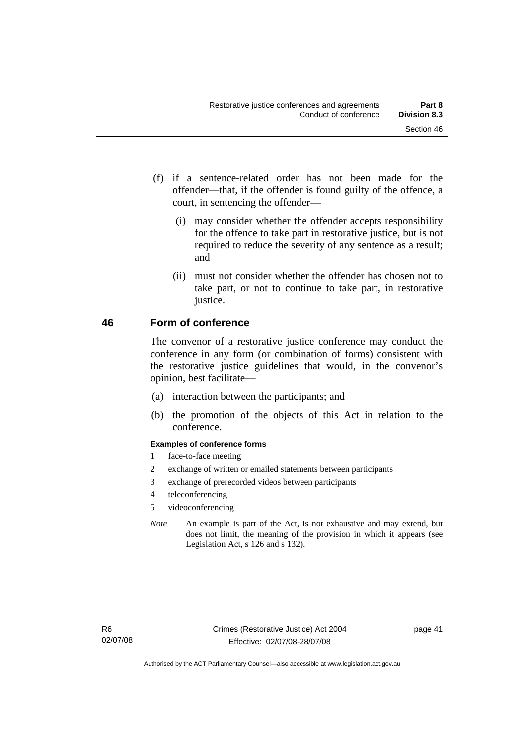- (f) if a sentence-related order has not been made for the offender—that, if the offender is found guilty of the offence, a court, in sentencing the offender—
	- (i) may consider whether the offender accepts responsibility for the offence to take part in restorative justice, but is not required to reduce the severity of any sentence as a result; and
	- (ii) must not consider whether the offender has chosen not to take part, or not to continue to take part, in restorative justice.

## **46 Form of conference**

The convenor of a restorative justice conference may conduct the conference in any form (or combination of forms) consistent with the restorative justice guidelines that would, in the convenor's opinion, best facilitate—

- (a) interaction between the participants; and
- (b) the promotion of the objects of this Act in relation to the conference.

### **Examples of conference forms**

- 1 face-to-face meeting
- 2 exchange of written or emailed statements between participants
- 3 exchange of prerecorded videos between participants
- 4 teleconferencing
- 5 videoconferencing
- *Note* An example is part of the Act, is not exhaustive and may extend, but does not limit, the meaning of the provision in which it appears (see Legislation Act, s 126 and s 132).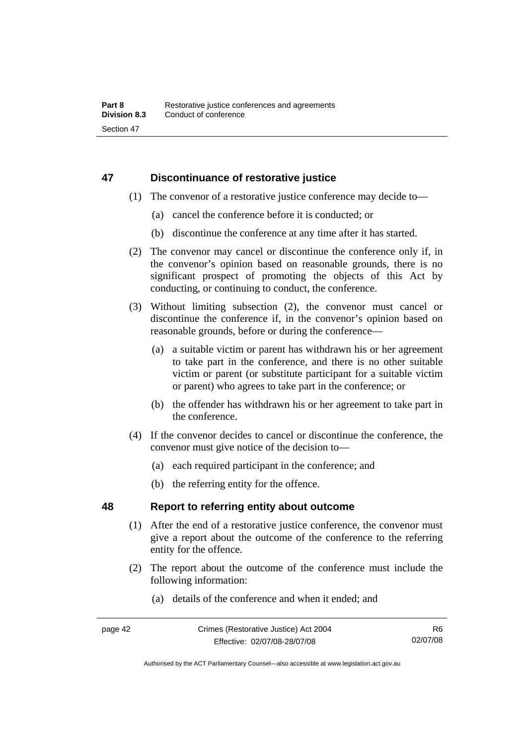## **47 Discontinuance of restorative justice**

- (1) The convenor of a restorative justice conference may decide to—
	- (a) cancel the conference before it is conducted; or
	- (b) discontinue the conference at any time after it has started.
- (2) The convenor may cancel or discontinue the conference only if, in the convenor's opinion based on reasonable grounds, there is no significant prospect of promoting the objects of this Act by conducting, or continuing to conduct, the conference.
- (3) Without limiting subsection (2), the convenor must cancel or discontinue the conference if, in the convenor's opinion based on reasonable grounds, before or during the conference—
	- (a) a suitable victim or parent has withdrawn his or her agreement to take part in the conference, and there is no other suitable victim or parent (or substitute participant for a suitable victim or parent) who agrees to take part in the conference; or
	- (b) the offender has withdrawn his or her agreement to take part in the conference.
- (4) If the convenor decides to cancel or discontinue the conference, the convenor must give notice of the decision to—
	- (a) each required participant in the conference; and
	- (b) the referring entity for the offence.

## **48 Report to referring entity about outcome**

- (1) After the end of a restorative justice conference, the convenor must give a report about the outcome of the conference to the referring entity for the offence.
- (2) The report about the outcome of the conference must include the following information:
	- (a) details of the conference and when it ended; and

Authorised by the ACT Parliamentary Counsel—also accessible at www.legislation.act.gov.au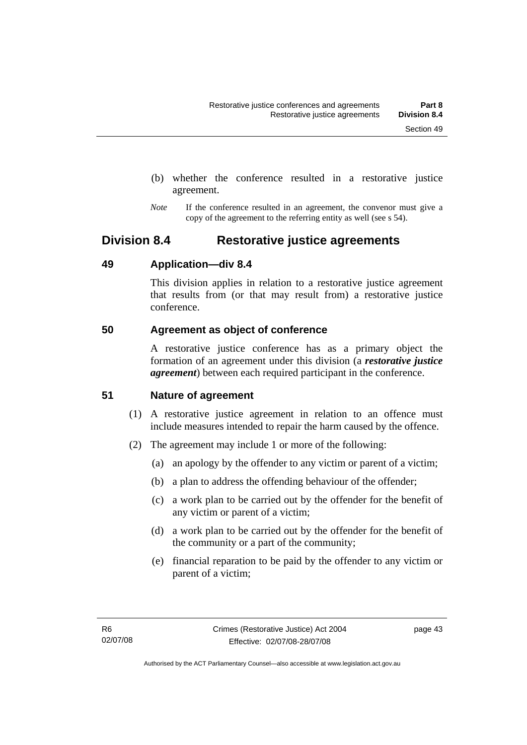- (b) whether the conference resulted in a restorative justice agreement.
- *Note* If the conference resulted in an agreement, the convenor must give a copy of the agreement to the referring entity as well (see s 54).

## **Division 8.4 Restorative justice agreements**

## **49 Application—div 8.4**

This division applies in relation to a restorative justice agreement that results from (or that may result from) a restorative justice conference.

## **50 Agreement as object of conference**

A restorative justice conference has as a primary object the formation of an agreement under this division (a *restorative justice agreement*) between each required participant in the conference.

## **51 Nature of agreement**

- (1) A restorative justice agreement in relation to an offence must include measures intended to repair the harm caused by the offence.
- (2) The agreement may include 1 or more of the following:
	- (a) an apology by the offender to any victim or parent of a victim;
	- (b) a plan to address the offending behaviour of the offender;
	- (c) a work plan to be carried out by the offender for the benefit of any victim or parent of a victim;
	- (d) a work plan to be carried out by the offender for the benefit of the community or a part of the community;
	- (e) financial reparation to be paid by the offender to any victim or parent of a victim;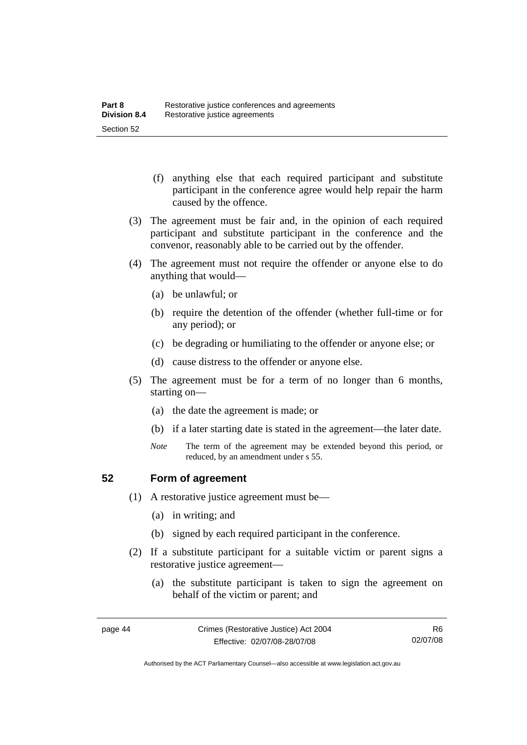- (f) anything else that each required participant and substitute participant in the conference agree would help repair the harm caused by the offence.
- (3) The agreement must be fair and, in the opinion of each required participant and substitute participant in the conference and the convenor, reasonably able to be carried out by the offender.
- (4) The agreement must not require the offender or anyone else to do anything that would—
	- (a) be unlawful; or
	- (b) require the detention of the offender (whether full-time or for any period); or
	- (c) be degrading or humiliating to the offender or anyone else; or
	- (d) cause distress to the offender or anyone else.
- (5) The agreement must be for a term of no longer than 6 months, starting on—
	- (a) the date the agreement is made; or
	- (b) if a later starting date is stated in the agreement—the later date.
	- *Note* The term of the agreement may be extended beyond this period, or reduced, by an amendment under s 55.

## **52 Form of agreement**

- (1) A restorative justice agreement must be—
	- (a) in writing; and
	- (b) signed by each required participant in the conference.
- (2) If a substitute participant for a suitable victim or parent signs a restorative justice agreement—
	- (a) the substitute participant is taken to sign the agreement on behalf of the victim or parent; and

Authorised by the ACT Parliamentary Counsel—also accessible at www.legislation.act.gov.au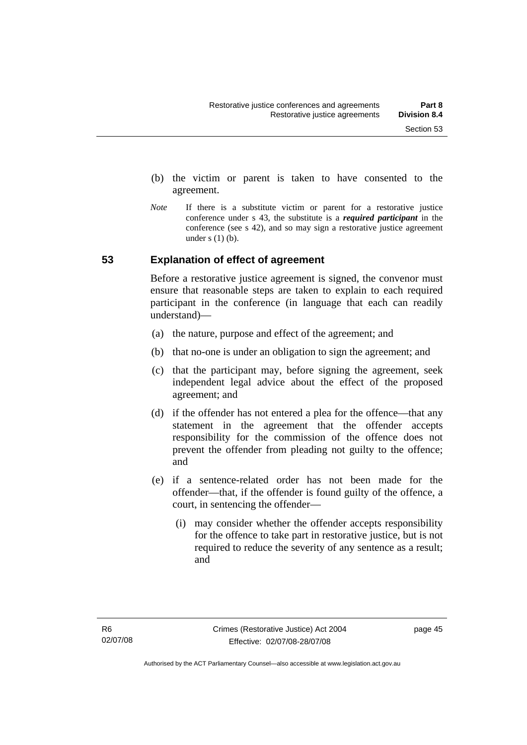- (b) the victim or parent is taken to have consented to the agreement.
- *Note* If there is a substitute victim or parent for a restorative justice conference under s 43, the substitute is a *required participant* in the conference (see s 42), and so may sign a restorative justice agreement under  $s(1)(b)$ .

## **53 Explanation of effect of agreement**

Before a restorative justice agreement is signed, the convenor must ensure that reasonable steps are taken to explain to each required participant in the conference (in language that each can readily understand)—

- (a) the nature, purpose and effect of the agreement; and
- (b) that no-one is under an obligation to sign the agreement; and
- (c) that the participant may, before signing the agreement, seek independent legal advice about the effect of the proposed agreement; and
- (d) if the offender has not entered a plea for the offence—that any statement in the agreement that the offender accepts responsibility for the commission of the offence does not prevent the offender from pleading not guilty to the offence; and
- (e) if a sentence-related order has not been made for the offender—that, if the offender is found guilty of the offence, a court, in sentencing the offender—
	- (i) may consider whether the offender accepts responsibility for the offence to take part in restorative justice, but is not required to reduce the severity of any sentence as a result: and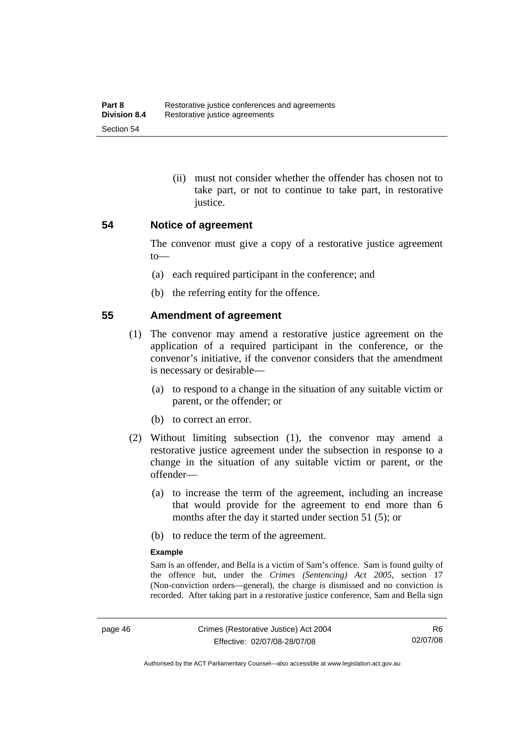(ii) must not consider whether the offender has chosen not to take part, or not to continue to take part, in restorative justice.

### **54 Notice of agreement**

The convenor must give a copy of a restorative justice agreement to—

- (a) each required participant in the conference; and
- (b) the referring entity for the offence.

### **55 Amendment of agreement**

- (1) The convenor may amend a restorative justice agreement on the application of a required participant in the conference, or the convenor's initiative, if the convenor considers that the amendment is necessary or desirable—
	- (a) to respond to a change in the situation of any suitable victim or parent, or the offender; or
	- (b) to correct an error.
- (2) Without limiting subsection (1), the convenor may amend a restorative justice agreement under the subsection in response to a change in the situation of any suitable victim or parent, or the offender—
	- (a) to increase the term of the agreement, including an increase that would provide for the agreement to end more than 6 months after the day it started under section 51 (5); or
	- (b) to reduce the term of the agreement.

#### **Example**

Sam is an offender, and Bella is a victim of Sam's offence. Sam is found guilty of the offence but, under the *Crimes (Sentencing) Act 2005*, section 17 (Non-conviction orders—general), the charge is dismissed and no conviction is recorded. After taking part in a restorative justice conference, Sam and Bella sign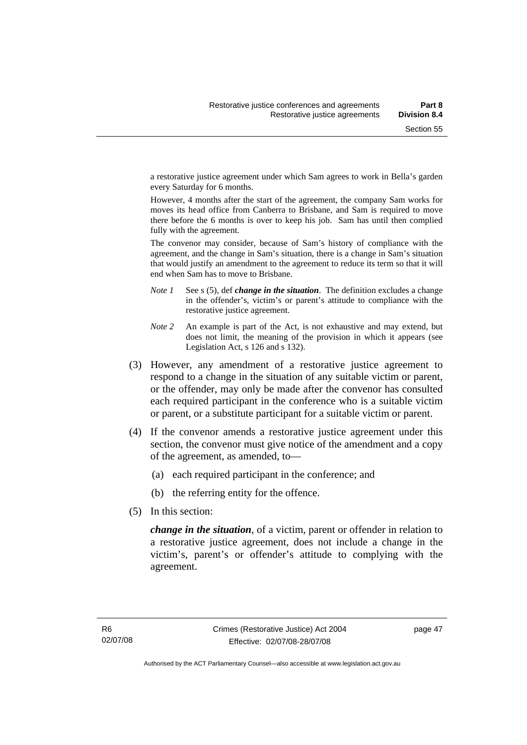a restorative justice agreement under which Sam agrees to work in Bella's garden every Saturday for 6 months.

However, 4 months after the start of the agreement, the company Sam works for moves its head office from Canberra to Brisbane, and Sam is required to move there before the 6 months is over to keep his job. Sam has until then complied fully with the agreement.

The convenor may consider, because of Sam's history of compliance with the agreement, and the change in Sam's situation, there is a change in Sam's situation that would justify an amendment to the agreement to reduce its term so that it will end when Sam has to move to Brisbane.

- *Note 1* See s (5), def *change in the situation*. The definition excludes a change in the offender's, victim's or parent's attitude to compliance with the restorative justice agreement.
- *Note 2* An example is part of the Act, is not exhaustive and may extend, but does not limit, the meaning of the provision in which it appears (see Legislation Act, s 126 and s 132).
- (3) However, any amendment of a restorative justice agreement to respond to a change in the situation of any suitable victim or parent, or the offender, may only be made after the convenor has consulted each required participant in the conference who is a suitable victim or parent, or a substitute participant for a suitable victim or parent.
- (4) If the convenor amends a restorative justice agreement under this section, the convenor must give notice of the amendment and a copy of the agreement, as amended, to—
	- (a) each required participant in the conference; and
	- (b) the referring entity for the offence.
- (5) In this section:

*change in the situation*, of a victim, parent or offender in relation to a restorative justice agreement, does not include a change in the victim's, parent's or offender's attitude to complying with the agreement.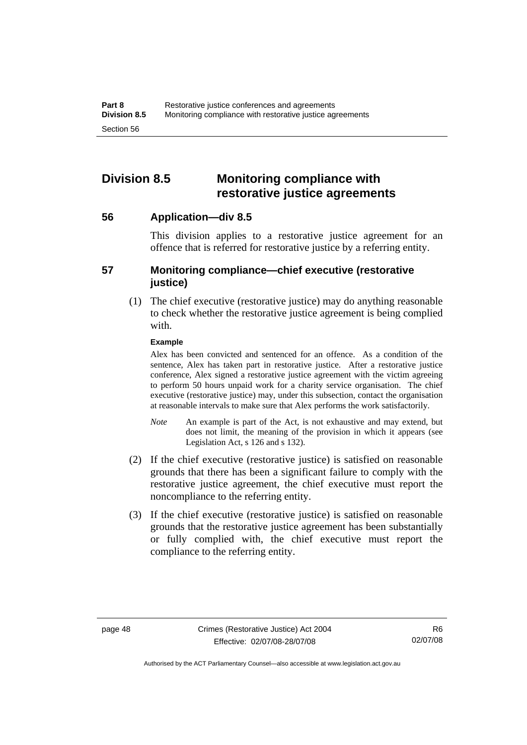## **Division 8.5 Monitoring compliance with restorative justice agreements**

**56 Application—div 8.5** 

This division applies to a restorative justice agreement for an offence that is referred for restorative justice by a referring entity.

## **57 Monitoring compliance—chief executive (restorative justice)**

 (1) The chief executive (restorative justice) may do anything reasonable to check whether the restorative justice agreement is being complied with.

### **Example**

Alex has been convicted and sentenced for an offence. As a condition of the sentence, Alex has taken part in restorative justice. After a restorative justice conference, Alex signed a restorative justice agreement with the victim agreeing to perform 50 hours unpaid work for a charity service organisation. The chief executive (restorative justice) may, under this subsection, contact the organisation at reasonable intervals to make sure that Alex performs the work satisfactorily.

- *Note* An example is part of the Act, is not exhaustive and may extend, but does not limit, the meaning of the provision in which it appears (see Legislation Act, s 126 and s 132).
- (2) If the chief executive (restorative justice) is satisfied on reasonable grounds that there has been a significant failure to comply with the restorative justice agreement, the chief executive must report the noncompliance to the referring entity.
- (3) If the chief executive (restorative justice) is satisfied on reasonable grounds that the restorative justice agreement has been substantially or fully complied with, the chief executive must report the compliance to the referring entity.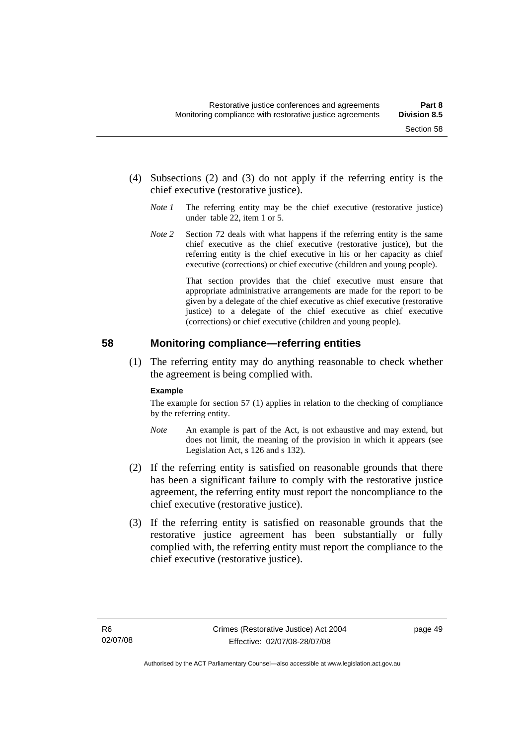- (4) Subsections (2) and (3) do not apply if the referring entity is the chief executive (restorative justice).
	- *Note 1* The referring entity may be the chief executive (restorative justice) under table 22, item 1 or 5.
	- *Note 2* Section 72 deals with what happens if the referring entity is the same chief executive as the chief executive (restorative justice), but the referring entity is the chief executive in his or her capacity as chief executive (corrections) or chief executive (children and young people).

 That section provides that the chief executive must ensure that appropriate administrative arrangements are made for the report to be given by a delegate of the chief executive as chief executive (restorative justice) to a delegate of the chief executive as chief executive (corrections) or chief executive (children and young people).

## **58 Monitoring compliance—referring entities**

 (1) The referring entity may do anything reasonable to check whether the agreement is being complied with.

#### **Example**

The example for section 57 (1) applies in relation to the checking of compliance by the referring entity.

- *Note* An example is part of the Act, is not exhaustive and may extend, but does not limit, the meaning of the provision in which it appears (see Legislation Act, s 126 and s 132).
- (2) If the referring entity is satisfied on reasonable grounds that there has been a significant failure to comply with the restorative justice agreement, the referring entity must report the noncompliance to the chief executive (restorative justice).
- (3) If the referring entity is satisfied on reasonable grounds that the restorative justice agreement has been substantially or fully complied with, the referring entity must report the compliance to the chief executive (restorative justice).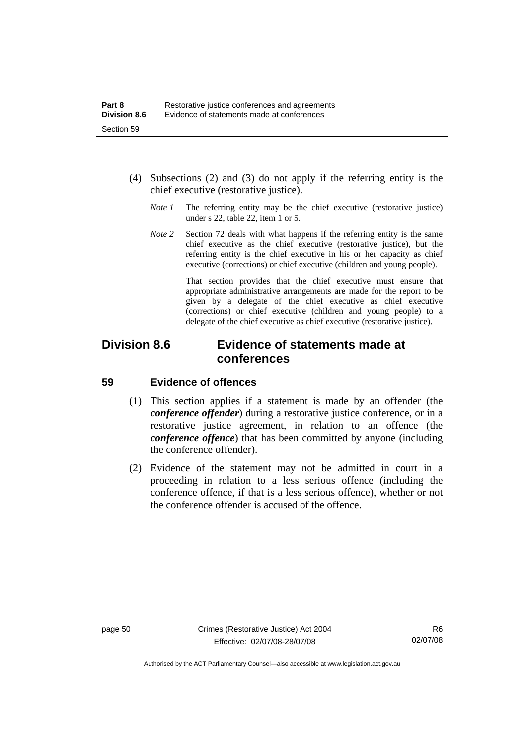- (4) Subsections (2) and (3) do not apply if the referring entity is the chief executive (restorative justice).
	- *Note 1* The referring entity may be the chief executive (restorative justice) under s 22, table 22, item 1 or 5.
	- *Note* 2 Section 72 deals with what happens if the referring entity is the same chief executive as the chief executive (restorative justice), but the referring entity is the chief executive in his or her capacity as chief executive (corrections) or chief executive (children and young people).

 That section provides that the chief executive must ensure that appropriate administrative arrangements are made for the report to be given by a delegate of the chief executive as chief executive (corrections) or chief executive (children and young people) to a delegate of the chief executive as chief executive (restorative justice).

## **Division 8.6 Evidence of statements made at conferences**

## **59 Evidence of offences**

- (1) This section applies if a statement is made by an offender (the *conference offender*) during a restorative justice conference, or in a restorative justice agreement, in relation to an offence (the *conference offence*) that has been committed by anyone (including the conference offender).
- (2) Evidence of the statement may not be admitted in court in a proceeding in relation to a less serious offence (including the conference offence, if that is a less serious offence), whether or not the conference offender is accused of the offence.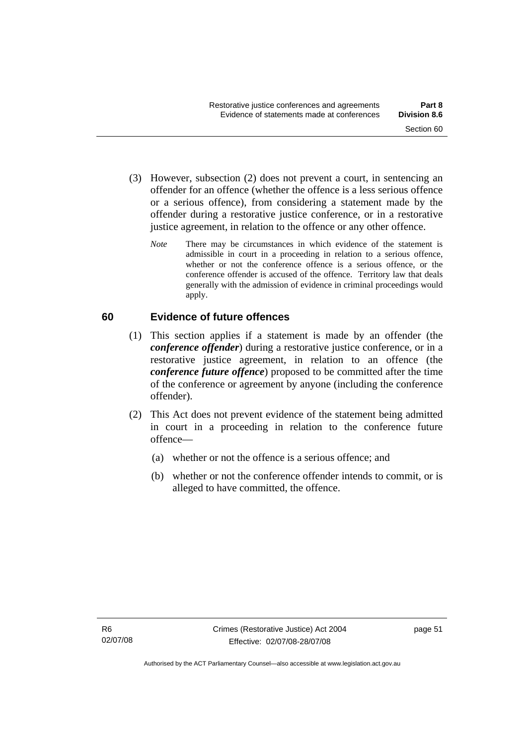- (3) However, subsection (2) does not prevent a court, in sentencing an offender for an offence (whether the offence is a less serious offence or a serious offence), from considering a statement made by the offender during a restorative justice conference, or in a restorative justice agreement, in relation to the offence or any other offence.
	- *Note* There may be circumstances in which evidence of the statement is admissible in court in a proceeding in relation to a serious offence, whether or not the conference offence is a serious offence, or the conference offender is accused of the offence. Territory law that deals generally with the admission of evidence in criminal proceedings would apply.

## **60 Evidence of future offences**

- (1) This section applies if a statement is made by an offender (the *conference offender*) during a restorative justice conference, or in a restorative justice agreement, in relation to an offence (the *conference future offence*) proposed to be committed after the time of the conference or agreement by anyone (including the conference offender).
- (2) This Act does not prevent evidence of the statement being admitted in court in a proceeding in relation to the conference future offence—
	- (a) whether or not the offence is a serious offence; and
	- (b) whether or not the conference offender intends to commit, or is alleged to have committed, the offence.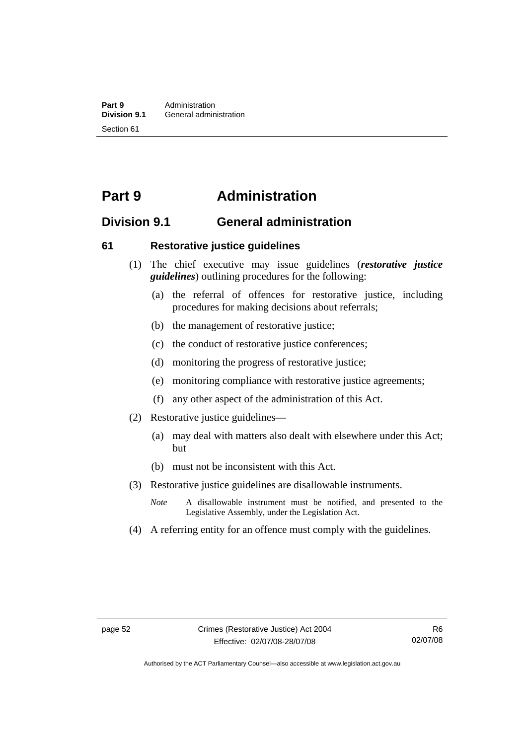## **Part 9 Administration**

## **Division 9.1 General administration**

## **61 Restorative justice guidelines**

- (1) The chief executive may issue guidelines (*restorative justice guidelines*) outlining procedures for the following:
	- (a) the referral of offences for restorative justice, including procedures for making decisions about referrals;
	- (b) the management of restorative justice;
	- (c) the conduct of restorative justice conferences;
	- (d) monitoring the progress of restorative justice;
	- (e) monitoring compliance with restorative justice agreements;
	- (f) any other aspect of the administration of this Act.
- (2) Restorative justice guidelines—
	- (a) may deal with matters also dealt with elsewhere under this Act; but
	- (b) must not be inconsistent with this Act.
- (3) Restorative justice guidelines are disallowable instruments.
	- *Note* A disallowable instrument must be notified, and presented to the Legislative Assembly, under the Legislation Act.
- (4) A referring entity for an offence must comply with the guidelines.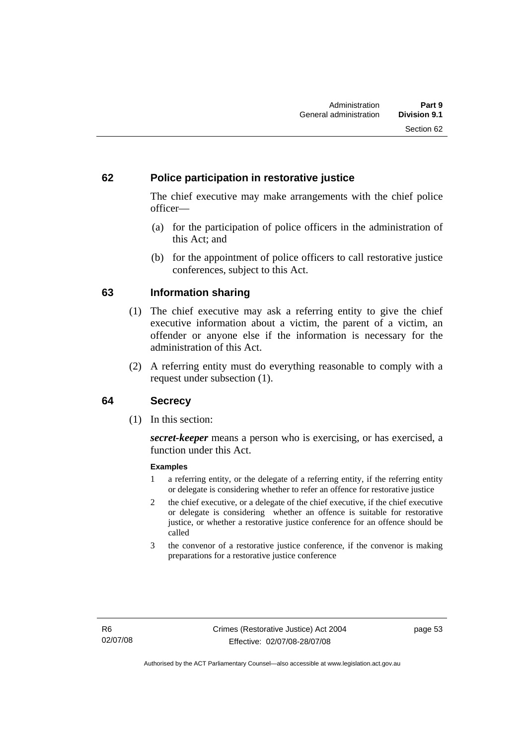## **62 Police participation in restorative justice**

The chief executive may make arrangements with the chief police officer—

- (a) for the participation of police officers in the administration of this Act; and
- (b) for the appointment of police officers to call restorative justice conferences, subject to this Act.

## **63 Information sharing**

- (1) The chief executive may ask a referring entity to give the chief executive information about a victim, the parent of a victim, an offender or anyone else if the information is necessary for the administration of this Act.
- (2) A referring entity must do everything reasonable to comply with a request under subsection (1).

## **64 Secrecy**

(1) In this section:

*secret-keeper* means a person who is exercising, or has exercised, a function under this Act.

#### **Examples**

- 1 a referring entity, or the delegate of a referring entity, if the referring entity or delegate is considering whether to refer an offence for restorative justice
- 2 the chief executive, or a delegate of the chief executive, if the chief executive or delegate is considering whether an offence is suitable for restorative justice, or whether a restorative justice conference for an offence should be called
- 3 the convenor of a restorative justice conference, if the convenor is making preparations for a restorative justice conference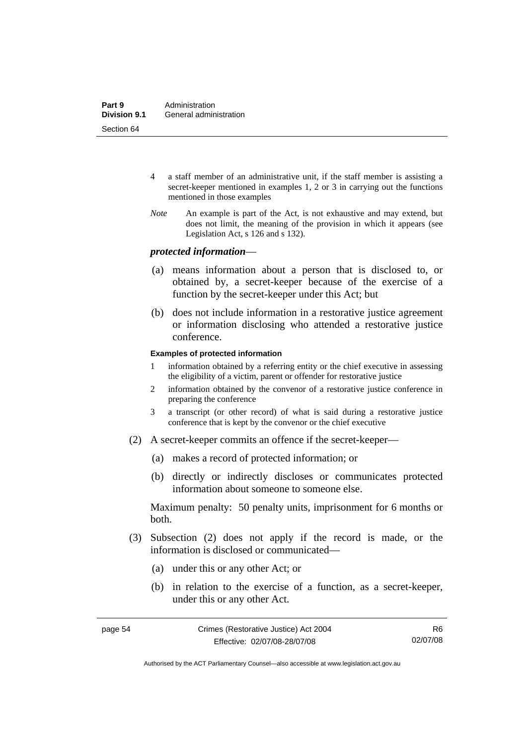- 4 a staff member of an administrative unit, if the staff member is assisting a secret-keeper mentioned in examples 1, 2 or 3 in carrying out the functions mentioned in those examples
- *Note* An example is part of the Act, is not exhaustive and may extend, but does not limit, the meaning of the provision in which it appears (see Legislation Act, s 126 and s 132).

#### *protected information*—

- (a) means information about a person that is disclosed to, or obtained by, a secret-keeper because of the exercise of a function by the secret-keeper under this Act; but
- (b) does not include information in a restorative justice agreement or information disclosing who attended a restorative justice conference.

#### **Examples of protected information**

- 1 information obtained by a referring entity or the chief executive in assessing the eligibility of a victim, parent or offender for restorative justice
- 2 information obtained by the convenor of a restorative justice conference in preparing the conference
- 3 a transcript (or other record) of what is said during a restorative justice conference that is kept by the convenor or the chief executive
- (2) A secret-keeper commits an offence if the secret-keeper—
	- (a) makes a record of protected information; or
	- (b) directly or indirectly discloses or communicates protected information about someone to someone else.

Maximum penalty: 50 penalty units, imprisonment for 6 months or both.

- (3) Subsection (2) does not apply if the record is made, or the information is disclosed or communicated—
	- (a) under this or any other Act; or
	- (b) in relation to the exercise of a function, as a secret-keeper, under this or any other Act.

R6 02/07/08

Authorised by the ACT Parliamentary Counsel—also accessible at www.legislation.act.gov.au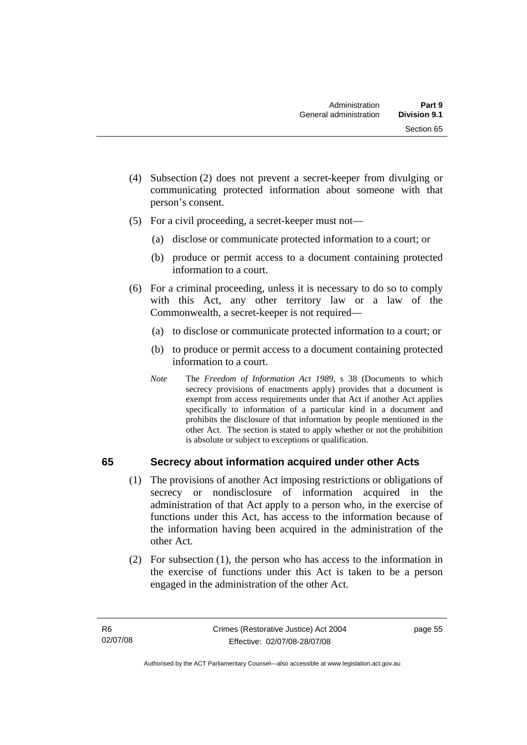- (4) Subsection (2) does not prevent a secret-keeper from divulging or communicating protected information about someone with that person's consent.
- (5) For a civil proceeding, a secret-keeper must not—
	- (a) disclose or communicate protected information to a court; or
	- (b) produce or permit access to a document containing protected information to a court.
- (6) For a criminal proceeding, unless it is necessary to do so to comply with this Act, any other territory law or a law of the Commonwealth, a secret-keeper is not required—
	- (a) to disclose or communicate protected information to a court; or
	- (b) to produce or permit access to a document containing protected information to a court.
	- *Note* The *Freedom of Information Act 1989*, s 38 (Documents to which secrecy provisions of enactments apply) provides that a document is exempt from access requirements under that Act if another Act applies specifically to information of a particular kind in a document and prohibits the disclosure of that information by people mentioned in the other Act. The section is stated to apply whether or not the prohibition is absolute or subject to exceptions or qualification.

## **65 Secrecy about information acquired under other Acts**

- (1) The provisions of another Act imposing restrictions or obligations of secrecy or nondisclosure of information acquired in the administration of that Act apply to a person who, in the exercise of functions under this Act, has access to the information because of the information having been acquired in the administration of the other Act.
- (2) For subsection (1), the person who has access to the information in the exercise of functions under this Act is taken to be a person engaged in the administration of the other Act.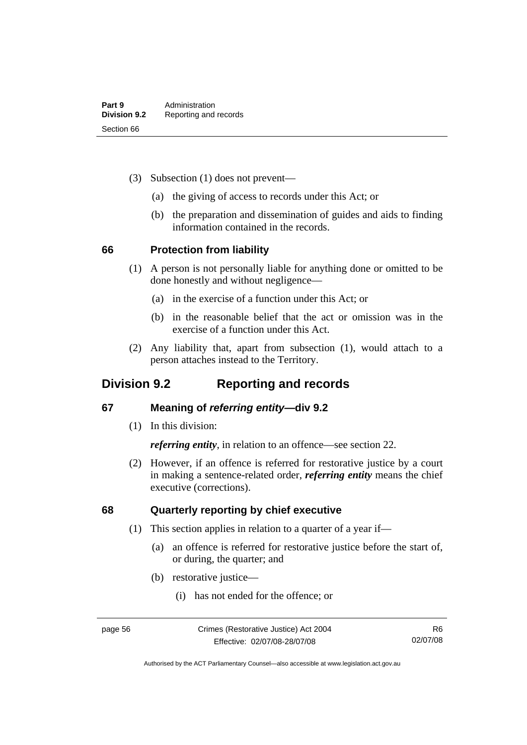- (3) Subsection (1) does not prevent—
	- (a) the giving of access to records under this Act; or
	- (b) the preparation and dissemination of guides and aids to finding information contained in the records.

### **66 Protection from liability**

- (1) A person is not personally liable for anything done or omitted to be done honestly and without negligence—
	- (a) in the exercise of a function under this Act; or
	- (b) in the reasonable belief that the act or omission was in the exercise of a function under this Act.
- (2) Any liability that, apart from subsection (1), would attach to a person attaches instead to the Territory.

## **Division 9.2 Reporting and records**

## **67 Meaning of** *referring entity—***div 9.2**

(1) In this division:

*referring entity*, in relation to an offence—see section 22.

 (2) However, if an offence is referred for restorative justice by a court in making a sentence-related order, *referring entity* means the chief executive (corrections).

## **68 Quarterly reporting by chief executive**

- (1) This section applies in relation to a quarter of a year if—
	- (a) an offence is referred for restorative justice before the start of, or during, the quarter; and
	- (b) restorative justice—
		- (i) has not ended for the offence; or

Authorised by the ACT Parliamentary Counsel—also accessible at www.legislation.act.gov.au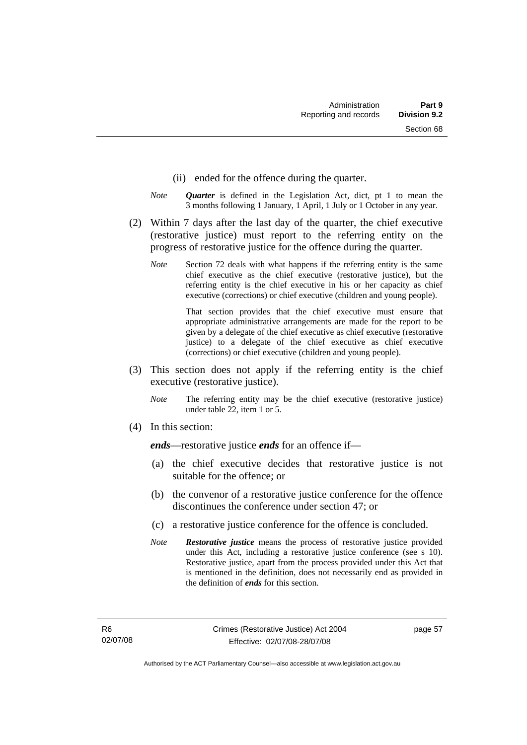- (ii) ended for the offence during the quarter.
- *Note Quarter* is defined in the Legislation Act, dict, pt 1 to mean the 3 months following 1 January, 1 April, 1 July or 1 October in any year.
- (2) Within 7 days after the last day of the quarter, the chief executive (restorative justice) must report to the referring entity on the progress of restorative justice for the offence during the quarter.
	- *Note* Section 72 deals with what happens if the referring entity is the same chief executive as the chief executive (restorative justice), but the referring entity is the chief executive in his or her capacity as chief executive (corrections) or chief executive (children and young people).

 That section provides that the chief executive must ensure that appropriate administrative arrangements are made for the report to be given by a delegate of the chief executive as chief executive (restorative justice) to a delegate of the chief executive as chief executive (corrections) or chief executive (children and young people).

- (3) This section does not apply if the referring entity is the chief executive (restorative justice).
	- *Note* The referring entity may be the chief executive (restorative justice) under table 22, item 1 or 5.
- (4) In this section:

*ends*—restorative justice *ends* for an offence if—

- (a) the chief executive decides that restorative justice is not suitable for the offence; or
- (b) the convenor of a restorative justice conference for the offence discontinues the conference under section 47; or
- (c) a restorative justice conference for the offence is concluded.
- *Note Restorative justice* means the process of restorative justice provided under this Act, including a restorative justice conference (see s 10). Restorative justice, apart from the process provided under this Act that is mentioned in the definition, does not necessarily end as provided in the definition of *ends* for this section.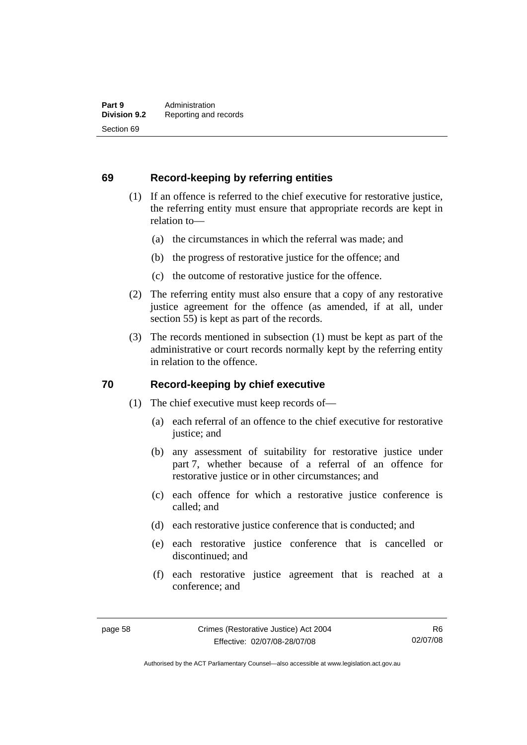## **69 Record-keeping by referring entities**

- (1) If an offence is referred to the chief executive for restorative justice, the referring entity must ensure that appropriate records are kept in relation to—
	- (a) the circumstances in which the referral was made; and
	- (b) the progress of restorative justice for the offence; and
	- (c) the outcome of restorative justice for the offence.
- (2) The referring entity must also ensure that a copy of any restorative justice agreement for the offence (as amended, if at all, under section 55) is kept as part of the records.
- (3) The records mentioned in subsection (1) must be kept as part of the administrative or court records normally kept by the referring entity in relation to the offence.

## **70 Record-keeping by chief executive**

- (1) The chief executive must keep records of—
	- (a) each referral of an offence to the chief executive for restorative justice; and
	- (b) any assessment of suitability for restorative justice under part 7, whether because of a referral of an offence for restorative justice or in other circumstances; and
	- (c) each offence for which a restorative justice conference is called; and
	- (d) each restorative justice conference that is conducted; and
	- (e) each restorative justice conference that is cancelled or discontinued; and
	- (f) each restorative justice agreement that is reached at a conference; and

Authorised by the ACT Parliamentary Counsel—also accessible at www.legislation.act.gov.au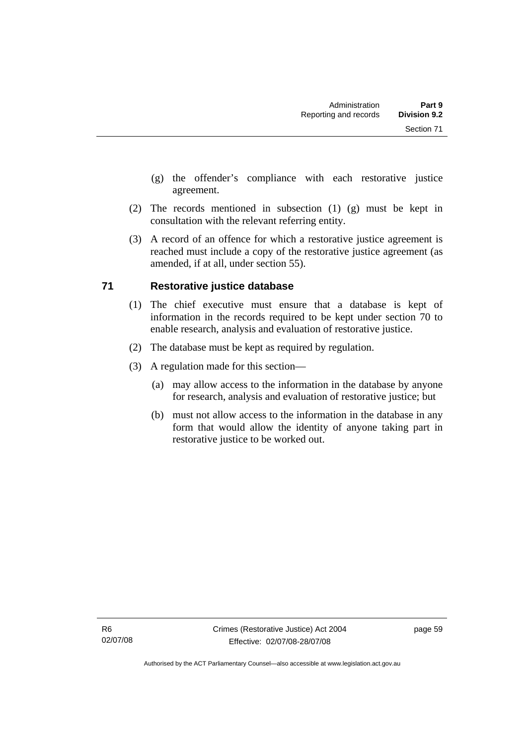- (g) the offender's compliance with each restorative justice agreement.
- (2) The records mentioned in subsection (1) (g) must be kept in consultation with the relevant referring entity.
- (3) A record of an offence for which a restorative justice agreement is reached must include a copy of the restorative justice agreement (as amended, if at all, under section 55).

## **71 Restorative justice database**

- (1) The chief executive must ensure that a database is kept of information in the records required to be kept under section 70 to enable research, analysis and evaluation of restorative justice.
- (2) The database must be kept as required by regulation.
- (3) A regulation made for this section—
	- (a) may allow access to the information in the database by anyone for research, analysis and evaluation of restorative justice; but
	- (b) must not allow access to the information in the database in any form that would allow the identity of anyone taking part in restorative justice to be worked out.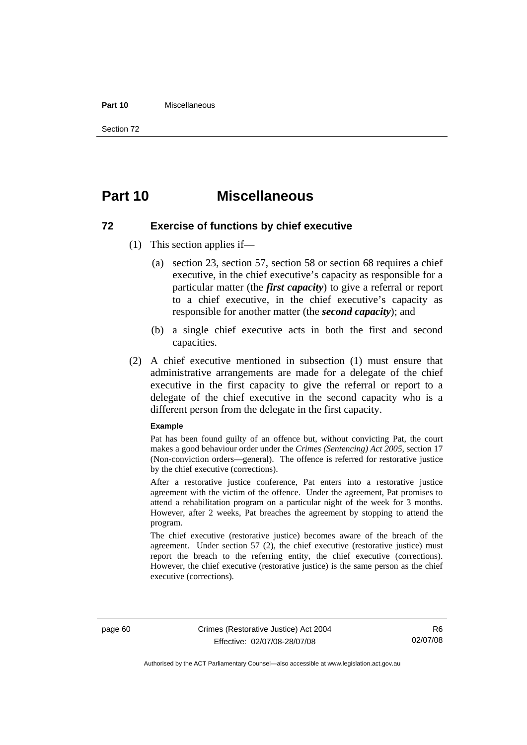#### **Part 10** Miscellaneous

Section 72

## **Part 10 Miscellaneous**

#### **72 Exercise of functions by chief executive**

- (1) This section applies if—
	- (a) section 23, section 57, section 58 or section 68 requires a chief executive, in the chief executive's capacity as responsible for a particular matter (the *first capacity*) to give a referral or report to a chief executive, in the chief executive's capacity as responsible for another matter (the *second capacity*); and
	- (b) a single chief executive acts in both the first and second capacities.
- (2) A chief executive mentioned in subsection (1) must ensure that administrative arrangements are made for a delegate of the chief executive in the first capacity to give the referral or report to a delegate of the chief executive in the second capacity who is a different person from the delegate in the first capacity.

#### **Example**

Pat has been found guilty of an offence but, without convicting Pat, the court makes a good behaviour order under the *Crimes (Sentencing) Act 2005*, section 17 (Non-conviction orders—general). The offence is referred for restorative justice by the chief executive (corrections).

After a restorative justice conference, Pat enters into a restorative justice agreement with the victim of the offence. Under the agreement, Pat promises to attend a rehabilitation program on a particular night of the week for 3 months. However, after 2 weeks, Pat breaches the agreement by stopping to attend the program.

The chief executive (restorative justice) becomes aware of the breach of the agreement. Under section 57 (2), the chief executive (restorative justice) must report the breach to the referring entity, the chief executive (corrections). However, the chief executive (restorative justice) is the same person as the chief executive (corrections).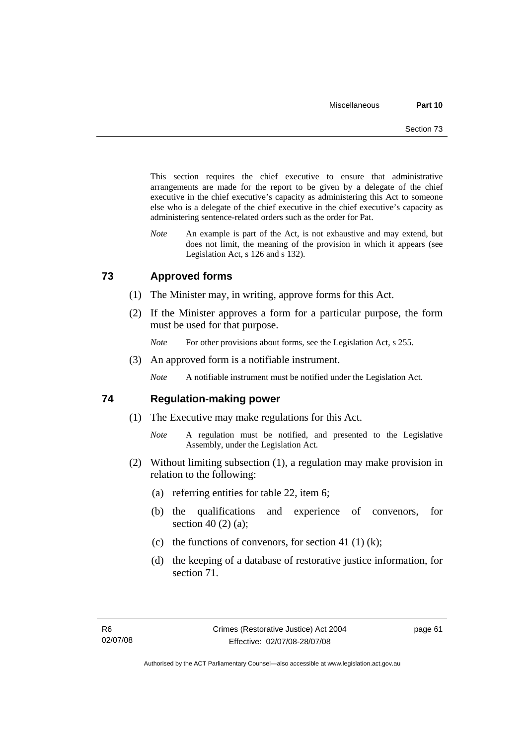This section requires the chief executive to ensure that administrative arrangements are made for the report to be given by a delegate of the chief executive in the chief executive's capacity as administering this Act to someone else who is a delegate of the chief executive in the chief executive's capacity as administering sentence-related orders such as the order for Pat.

*Note* An example is part of the Act, is not exhaustive and may extend, but does not limit, the meaning of the provision in which it appears (see Legislation Act, s 126 and s 132).

## **73 Approved forms**

- (1) The Minister may, in writing, approve forms for this Act.
- (2) If the Minister approves a form for a particular purpose, the form must be used for that purpose.
	- *Note* For other provisions about forms, see the Legislation Act, s 255.
- (3) An approved form is a notifiable instrument.

*Note* A notifiable instrument must be notified under the Legislation Act.

### **74 Regulation-making power**

- (1) The Executive may make regulations for this Act.
	- *Note* A regulation must be notified, and presented to the Legislative Assembly, under the Legislation Act.
- (2) Without limiting subsection (1), a regulation may make provision in relation to the following:
	- (a) referring entities for table 22, item 6;
	- (b) the qualifications and experience of convenors, for section 40 (2) (a);
	- (c) the functions of convenors, for section 41 (1) (k);
	- (d) the keeping of a database of restorative justice information, for section 71.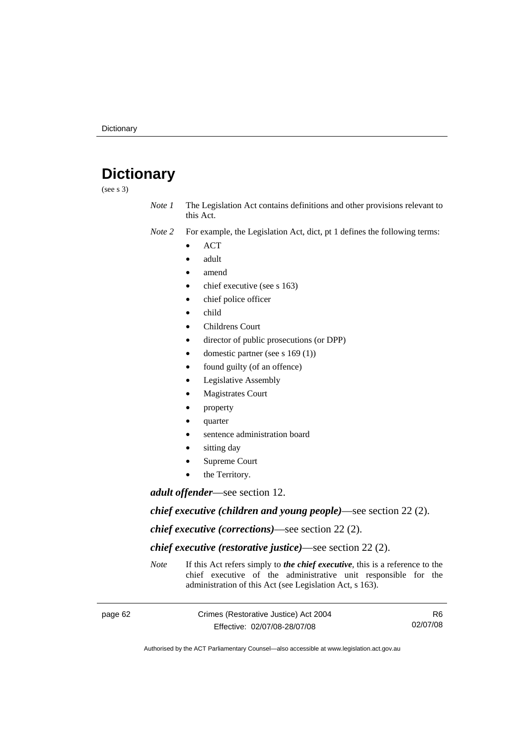# **Dictionary**

(see s 3)

*Note 1* The Legislation Act contains definitions and other provisions relevant to this Act.

*Note 2* For example, the Legislation Act, dict, pt 1 defines the following terms:

- ACT
- adult
- amend
- chief executive (see s 163)
- chief police officer
- child
- Childrens Court
- director of public prosecutions (or DPP)
- domestic partner (see s 169 (1))
- found guilty (of an offence)
- Legislative Assembly
- **Magistrates Court**
- property
- quarter
- sentence administration board
- sitting day
- Supreme Court
- the Territory.

*adult offender*—see section 12.

*chief executive (children and young people)*—see section 22 (2).

*chief executive (corrections)*—see section 22 (2).

*chief executive (restorative justice)*—see section 22 (2).

*Note* If this Act refers simply to *the chief executive*, this is a reference to the chief executive of the administrative unit responsible for the administration of this Act (see Legislation Act, s 163).

| page 62 | Crimes (Restorative Justice) Act 2004 | R6       |
|---------|---------------------------------------|----------|
|         | Effective: 02/07/08-28/07/08          | 02/07/08 |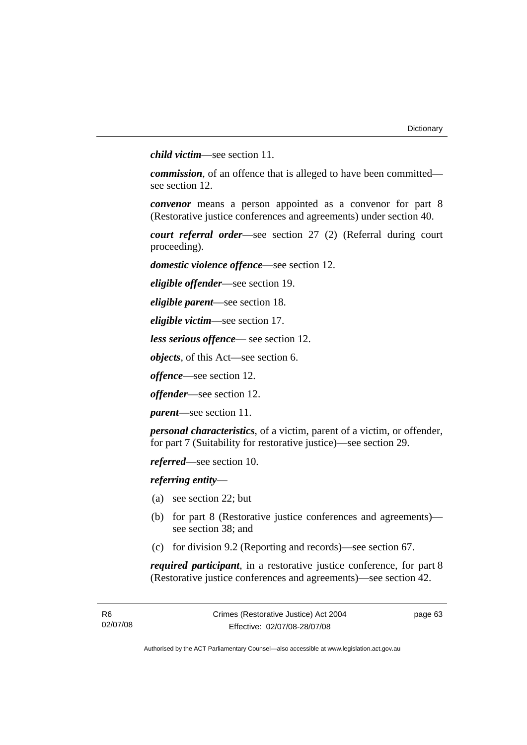*child victim*—see section 11.

*commission*, of an offence that is alleged to have been committed see section 12.

*convenor* means a person appointed as a convenor for part 8 (Restorative justice conferences and agreements) under section 40.

*court referral order*—see section 27 (2) (Referral during court proceeding).

*domestic violence offence*—see section 12.

*eligible offender*—see section 19.

*eligible parent*—see section 18.

*eligible victim*—see section 17.

*less serious offence*— see section 12.

*objects*, of this Act—see section 6.

*offence*—see section 12.

*offender*—see section 12.

*parent*—see section 11.

*personal characteristics*, of a victim, parent of a victim, or offender, for part 7 (Suitability for restorative justice)—see section 29.

*referred*—see section 10.

*referring entity*—

- (a) see section 22; but
- (b) for part 8 (Restorative justice conferences and agreements) see section 38; and
- (c) for division 9.2 (Reporting and records)—see section 67.

*required participant*, in a restorative justice conference, for part 8 (Restorative justice conferences and agreements)—see section 42.

page 63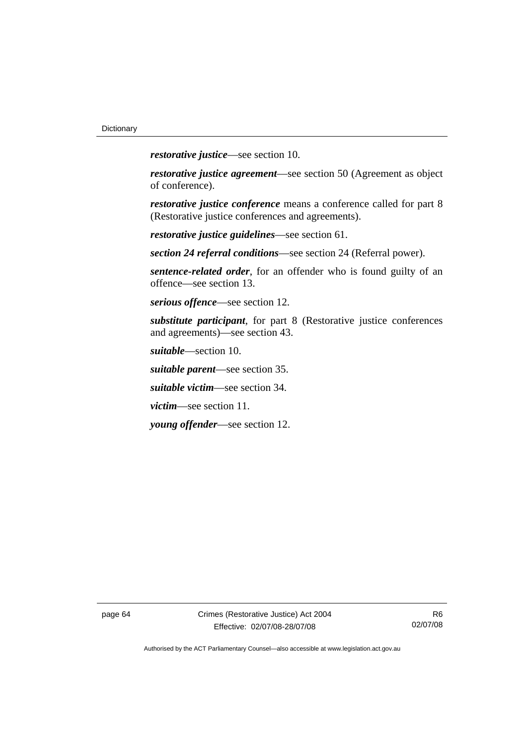*restorative justice*—see section 10.

*restorative justice agreement*—see section 50 (Agreement as object of conference).

*restorative justice conference* means a conference called for part 8 (Restorative justice conferences and agreements).

*restorative justice guidelines*—see section 61.

*section 24 referral conditions*—see section 24 (Referral power).

*sentence-related order*, for an offender who is found guilty of an offence—see section 13.

*serious offence*—see section 12.

*substitute participant*, for part 8 (Restorative justice conferences and agreements)—see section 43.

*suitable*—section 10.

*suitable parent*—see section 35.

*suitable victim*—see section 34.

*victim*—see section 11.

*young offender*—see section 12.

page 64 Crimes (Restorative Justice) Act 2004 Effective: 02/07/08-28/07/08

R6 02/07/08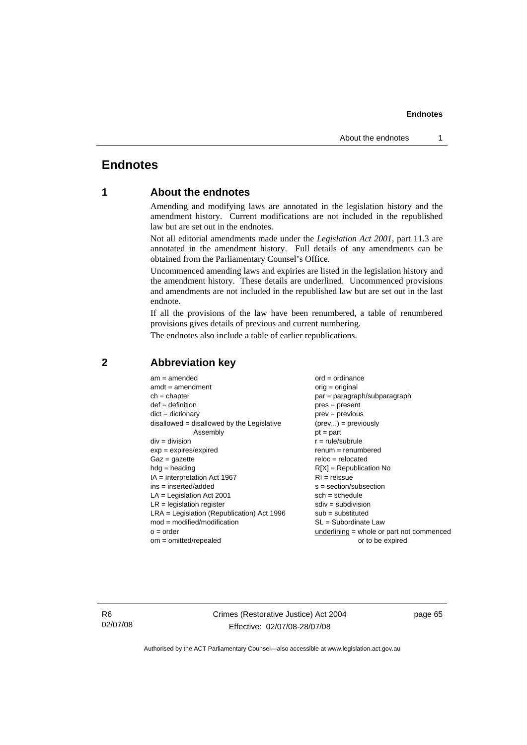# **Endnotes**

# **1 About the endnotes**

Amending and modifying laws are annotated in the legislation history and the amendment history. Current modifications are not included in the republished law but are set out in the endnotes.

Not all editorial amendments made under the *Legislation Act 2001*, part 11.3 are annotated in the amendment history. Full details of any amendments can be obtained from the Parliamentary Counsel's Office.

Uncommenced amending laws and expiries are listed in the legislation history and the amendment history. These details are underlined. Uncommenced provisions and amendments are not included in the republished law but are set out in the last endnote.

If all the provisions of the law have been renumbered, a table of renumbered provisions gives details of previous and current numbering.

The endnotes also include a table of earlier republications.

| $am = amended$                                      | $ord = ordinance$                         |  |
|-----------------------------------------------------|-------------------------------------------|--|
| $amdt = amendment$                                  | $orig = original$                         |  |
| $ch = chapter$                                      | par = paragraph/subparagraph              |  |
| $def = definition$                                  | $pres = present$                          |  |
| $dict = dictionary$                                 | $prev = previous$                         |  |
| $disallowed = disallowed by the Legislative$        | $(\text{prev}) = \text{previously}$       |  |
| Assembly                                            | $pt = part$                               |  |
| $div = division$                                    | $r = rule/subrule$                        |  |
| $exp = expires/expired$                             | $remum = renumbered$                      |  |
| $Gaz = qazette$                                     | $reloc = relocated$                       |  |
| $hdg =$ heading                                     | $R[X]$ = Republication No                 |  |
| $IA = Interpretation Act 1967$                      | $RI = reissue$                            |  |
| $ins = inserted/added$<br>$s = section/subsection$  |                                           |  |
| $LA =$ Legislation Act 2001<br>$sch = schedule$     |                                           |  |
| $LR =$ legislation register<br>$sdiv = subdivision$ |                                           |  |
| $LRA =$ Legislation (Republication) Act 1996        | $sub =$ substituted                       |  |
| $mod = modified/modification$                       | $SL = Subordinate$ Law                    |  |
| $o = order$                                         | underlining = whole or part not commenced |  |
| $om = omitted/repealed$                             | or to be expired                          |  |
|                                                     |                                           |  |

## **2 Abbreviation key**

R6 02/07/08 Crimes (Restorative Justice) Act 2004 Effective: 02/07/08-28/07/08

page 65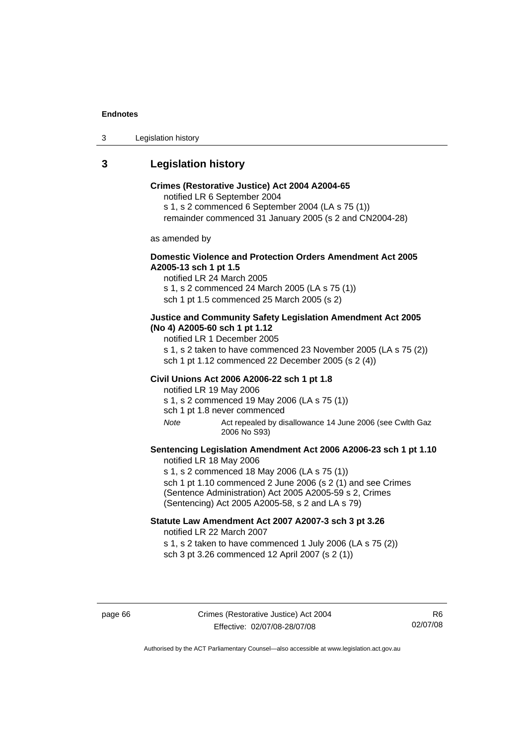3 Legislation history

# **3 Legislation history**

### **Crimes (Restorative Justice) Act 2004 A2004-65**

notified LR 6 September 2004

s 1, s 2 commenced 6 September 2004 (LA s 75 (1))

remainder commenced 31 January 2005 (s 2 and CN2004-28)

as amended by

## **Domestic Violence and Protection Orders Amendment Act 2005 A2005-13 sch 1 pt 1.5**

notified LR 24 March 2005 s 1, s 2 commenced 24 March 2005 (LA s 75 (1)) sch 1 pt 1.5 commenced 25 March 2005 (s 2)

### **Justice and Community Safety Legislation Amendment Act 2005 (No 4) A2005-60 sch 1 pt 1.12**

notified LR 1 December 2005

s 1, s 2 taken to have commenced 23 November 2005 (LA s 75 (2)) sch 1 pt 1.12 commenced 22 December 2005 (s 2 (4))

#### **Civil Unions Act 2006 A2006-22 sch 1 pt 1.8**

notified LR 19 May 2006 s 1, s 2 commenced 19 May 2006 (LA s 75 (1))

sch 1 pt 1.8 never commenced

*Note* Act repealed by disallowance 14 June 2006 (see Cwlth Gaz 2006 No S93)

## **Sentencing Legislation Amendment Act 2006 A2006-23 sch 1 pt 1.10**  notified LR 18 May 2006

s 1, s 2 commenced 18 May 2006 (LA s 75 (1)) sch 1 pt 1.10 commenced 2 June 2006 (s 2 (1) and see Crimes (Sentence Administration) Act 2005 A2005-59 s 2, Crimes (Sentencing) Act 2005 A2005-58, s 2 and LA s 79)

## **Statute Law Amendment Act 2007 A2007-3 sch 3 pt 3.26**  notified LR 22 March 2007

s 1, s 2 taken to have commenced 1 July 2006 (LA s 75 (2)) sch 3 pt 3.26 commenced 12 April 2007 (s 2 (1))

page 66 Crimes (Restorative Justice) Act 2004 Effective: 02/07/08-28/07/08

R6 02/07/08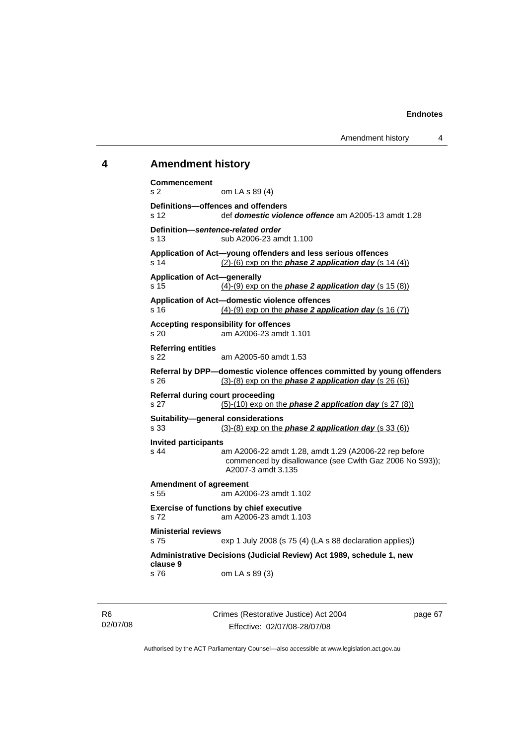## **4 Amendment history**

```
Commencement 
s 2 om LA s 89 (4) 
Definitions—offences and offenders 
s 12 def domestic violence offence am A2005-13 amdt 1.28 
Definition—sentence-related order 
s 13 sub A2006-23 amdt 1.100 
Application of Act—young offenders and less serious offences 
s 14 (2)-(6) exp on the phase 2 application day (s 14 (4))
Application of Act—generally 
s 15 (4)-(9) exp on the phase 2 application day (s 15 (8))
Application of Act—domestic violence offences 
s 16 (4)-(9) exp on the phase 2 application day (s 16 (7))
Accepting responsibility for offences 
s 20 am A2006-23 amdt 1.101 
Referring entities 
s 22 am A2005-60 amdt 1.53 
Referral by DPP—domestic violence offences committed by young offenders 
s 26 (3)-(8) exp on the phase 2 application day (s 26 (6))
Referral during court proceeding 
s 27 (5)-(10) exp on the phase 2 application day (s 27 (8))
Suitability—general considerations 
s 33 (3)-(8) exp on the phase 2 application day (s 33 (6))
Invited participants 
s 44 am A2006-22 amdt 1.28, amdt 1.29 (A2006-22 rep before 
                 commenced by disallowance (see Cwlth Gaz 2006 No S93)); 
                 A2007-3 amdt 3.135 
Amendment of agreement 
s 55 am A2006-23 amdt 1.102 
Exercise of functions by chief executive 
s 72 am A2006-23 amdt 1.103 
Ministerial reviews 
s 75 exp 1 July 2008 (s 75 (4) (LA s 88 declaration applies)) 
Administrative Decisions (Judicial Review) Act 1989, schedule 1, new 
clause 9 
s 76 om LA s 89 (3)
```
Crimes (Restorative Justice) Act 2004 Effective: 02/07/08-28/07/08

page 67